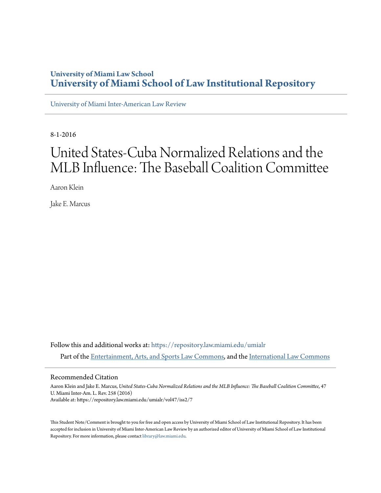# **University of Miami Law School [University of Miami School of Law Institutional Repository](https://repository.law.miami.edu?utm_source=repository.law.miami.edu%2Fumialr%2Fvol47%2Fiss2%2F7&utm_medium=PDF&utm_campaign=PDFCoverPages)**

[University of Miami Inter-American Law Review](https://repository.law.miami.edu/umialr?utm_source=repository.law.miami.edu%2Fumialr%2Fvol47%2Fiss2%2F7&utm_medium=PDF&utm_campaign=PDFCoverPages)

8-1-2016

# United States-Cuba Normalized Relations and the MLB Influence: The Baseball Coalition Committee

Aaron Klein

Jake E. Marcus

Follow this and additional works at: [https://repository.law.miami.edu/umialr](https://repository.law.miami.edu/umialr?utm_source=repository.law.miami.edu%2Fumialr%2Fvol47%2Fiss2%2F7&utm_medium=PDF&utm_campaign=PDFCoverPages) Part of the [Entertainment, Arts, and Sports Law Commons,](http://network.bepress.com/hgg/discipline/893?utm_source=repository.law.miami.edu%2Fumialr%2Fvol47%2Fiss2%2F7&utm_medium=PDF&utm_campaign=PDFCoverPages) and the [International Law Commons](http://network.bepress.com/hgg/discipline/609?utm_source=repository.law.miami.edu%2Fumialr%2Fvol47%2Fiss2%2F7&utm_medium=PDF&utm_campaign=PDFCoverPages)

#### Recommended Citation

Aaron Klein and Jake E. Marcus, *United States-Cuba Normalized Relations and the MLB Influence: The Baseball Coalition Committee*, 47 U. Miami Inter-Am. L. Rev. 258 (2016) Available at: https://repository.law.miami.edu/umialr/vol47/iss2/7

This Student Note/Comment is brought to you for free and open access by University of Miami School of Law Institutional Repository. It has been accepted for inclusion in University of Miami Inter-American Law Review by an authorized editor of University of Miami School of Law Institutional Repository. For more information, please contact [library@law.miami.edu](mailto:library@law.miami.edu).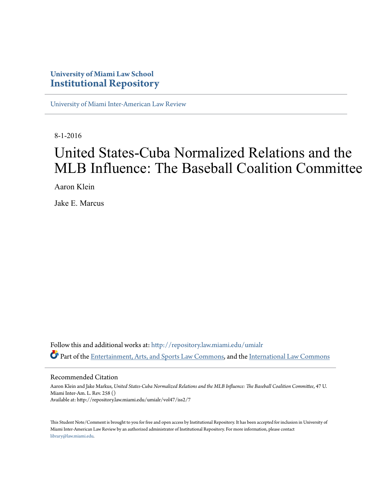# **University of Miami Law School [Institutional Repository](http://repository.law.miami.edu?utm_source=repository.law.miami.edu%2Fumialr%2Fvol47%2Fiss2%2F7&utm_medium=PDF&utm_campaign=PDFCoverPages)**

[University of Miami Inter-American Law Review](http://repository.law.miami.edu/umialr?utm_source=repository.law.miami.edu%2Fumialr%2Fvol47%2Fiss2%2F7&utm_medium=PDF&utm_campaign=PDFCoverPages)

8-1-2016

# United States-Cuba Normalized Relations and the MLB Influence: The Baseball Coalition Committee

Aaron Klein

Jake E. Marcus

Follow this and additional works at: [http://repository.law.miami.edu/umialr](http://repository.law.miami.edu/umialr?utm_source=repository.law.miami.edu%2Fumialr%2Fvol47%2Fiss2%2F7&utm_medium=PDF&utm_campaign=PDFCoverPages) Part of the [Entertainment, Arts, and Sports Law Commons,](http://network.bepress.com/hgg/discipline/893?utm_source=repository.law.miami.edu%2Fumialr%2Fvol47%2Fiss2%2F7&utm_medium=PDF&utm_campaign=PDFCoverPages) and the [International Law Commons](http://network.bepress.com/hgg/discipline/609?utm_source=repository.law.miami.edu%2Fumialr%2Fvol47%2Fiss2%2F7&utm_medium=PDF&utm_campaign=PDFCoverPages)

#### Recommended Citation

Aaron Klein and Jake Markus, *United States-Cuba Normalized Relations and the MLB Influence: The Baseball Coalition Committee*, 47 U. Miami Inter-Am. L. Rev. 258 () Available at: http://repository.law.miami.edu/umialr/vol47/iss2/7

This Student Note/Comment is brought to you for free and open access by Institutional Repository. It has been accepted for inclusion in University of Miami Inter-American Law Review by an authorized administrator of Institutional Repository. For more information, please contact [library@law.miami.edu](mailto:library@law.miami.edu).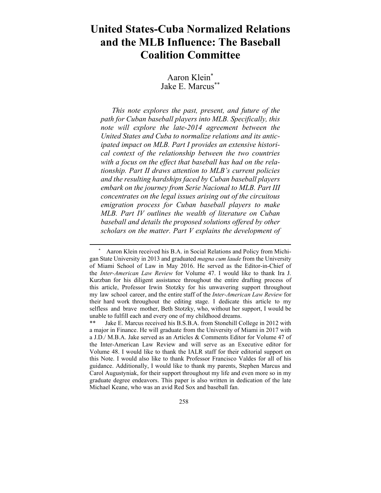# **United States-Cuba Normalized Relations and the MLB Influence: The Baseball Coalition Committee**

Aaron Klein\* Jake E. Marcus\*\*

*This note explores the past, present, and future of the path for Cuban baseball players into MLB. Specifically, this note will explore the late-2014 agreement between the United States and Cuba to normalize relations and its anticipated impact on MLB. Part I provides an extensive historical context of the relationship between the two countries with a focus on the effect that baseball has had on the relationship. Part II draws attention to MLB's current policies and the resulting hardships faced by Cuban baseball players embark on the journey from Serie Nacional to MLB. Part III concentrates on the legal issues arising out of the circuitous emigration process for Cuban baseball players to make MLB. Part IV outlines the wealth of literature on Cuban baseball and details the proposed solutions offered by other scholars on the matter. Part V explains the development of* 

Aaron Klein received his B.A. in Social Relations and Policy from Michigan State University in 2013 and graduated *magna cum laude* from the University of Miami School of Law in May 2016. He served as the Editor-in-Chief of the *Inter-American Law Review* for Volume 47. I would like to thank Ira J. Kurzban for his diligent assistance throughout the entire drafting process of this article, Professor Irwin Stotzky for his unwavering support throughout my law school career, and the entire staff of the *Inter-American Law Review* for their hard work throughout the editing stage. I dedicate this article to my selfless and brave mother, Beth Stotzky, who, without her support, I would be unable to fulfill each and every one of my childhood dreams.

Jake E. Marcus received his B.S.B.A. from Stonehill College in 2012 with a major in Finance. He will graduate from the University of Miami in 2017 with a J.D./ M.B.A. Jake served as an Articles & Comments Editor for Volume 47 of the Inter-American Law Review and will serve as an Executive editor for Volume 48. I would like to thank the IALR staff for their editorial support on this Note. I would also like to thank Professor Francisco Valdes for all of his guidance. Additionally, I would like to thank my parents, Stephen Marcus and Carol Augustyniak, for their support throughout my life and even more so in my graduate degree endeavors. This paper is also written in dedication of the late Michael Keane, who was an avid Red Sox and baseball fan.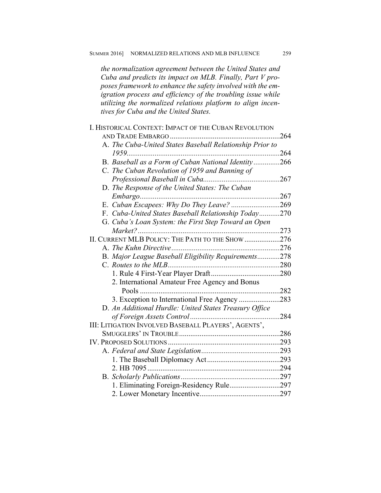*the normalization agreement between the United States and Cuba and predicts its impact on MLB. Finally, Part V proposes framework to enhance the safety involved with the emigration process and efficiency of the troubling issue while utilizing the normalized relations platform to align incentives for Cuba and the United States.* 

| I. HISTORICAL CONTEXT: IMPACT OF THE CUBAN REVOLUTION    |      |
|----------------------------------------------------------|------|
| AND TRADE EMBARGO<br>.                                   | 264  |
| A. The Cuba-United States Baseball Relationship Prior to |      |
| 1959                                                     |      |
| B. Baseball as a Form of Cuban National Identity266      |      |
| C. The Cuban Revolution of 1959 and Banning of           |      |
|                                                          |      |
| D. The Response of the United States: The Cuban          |      |
|                                                          | .267 |
| E. Cuban Escapees: Why Do They Leave? 269                |      |
| F. Cuba-United States Baseball Relationship Today270     |      |
| G. Cuba's Loan System: the First Step Toward an Open     |      |
| Market?                                                  | 273  |
| II. CURRENT MLB POLICY: THE PATH TO THE SHOW 276         |      |
|                                                          |      |
| B. Major League Baseball Eligibility Requirements278     |      |
|                                                          |      |
|                                                          |      |
| 2. International Amateur Free Agency and Bonus           |      |
|                                                          | .282 |
| 3. Exception to International Free Agency 283            |      |
| D. An Additional Hurdle: United States Treasury Office   |      |
|                                                          | 284  |
| III: LITIGATION INVOLVED BASEBALL PLAYERS', AGENTS',     |      |
|                                                          | .286 |
|                                                          |      |
|                                                          |      |
|                                                          | .293 |
| 2. HB 7095                                               |      |
|                                                          |      |
| 1. Eliminating Foreign-Residency Rule297                 |      |
|                                                          |      |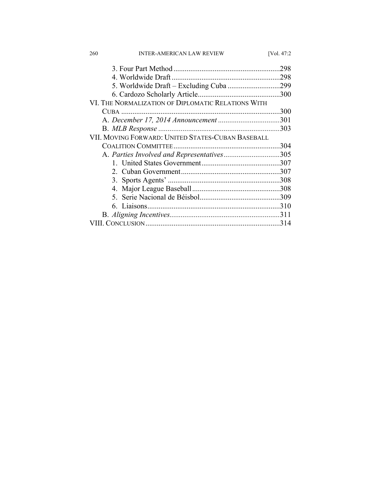| <b>INTER-AMERICAN LAW REVIEW</b><br>260            | [Vol. 47:2] |
|----------------------------------------------------|-------------|
|                                                    | .298        |
|                                                    | .298        |
|                                                    |             |
|                                                    | .300        |
| VI. THE NORMALIZATION OF DIPLOMATIC RELATIONS WITH |             |
|                                                    | .300        |
|                                                    |             |
|                                                    | .303        |
| VII. MOVING FORWARD: UNITED STATES-CUBAN BASEBALL  |             |
|                                                    | .304        |
| A. Parties Involved and Representatives305         |             |
|                                                    |             |
|                                                    |             |
|                                                    |             |
|                                                    |             |
|                                                    |             |
|                                                    |             |
|                                                    |             |
|                                                    | .314        |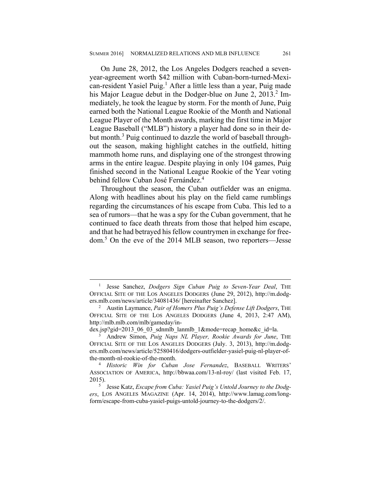On June 28, 2012, the Los Angeles Dodgers reached a sevenyear-agreement worth \$42 million with Cuban-born-turned-Mexican-resident Yasiel Puig.<sup>1</sup> After a little less than a year, Puig made his Major League debut in the Dodger-blue on June 2, 2013.<sup>2</sup> Immediately, he took the league by storm. For the month of June, Puig earned both the National League Rookie of the Month and National League Player of the Month awards, marking the first time in Major League Baseball ("MLB") history a player had done so in their debut month.<sup>3</sup> Puig continued to dazzle the world of baseball throughout the season, making highlight catches in the outfield, hitting mammoth home runs, and displaying one of the strongest throwing arms in the entire league. Despite playing in only 104 games, Puig finished second in the National League Rookie of the Year voting behind fellow Cuban José Fernández.<sup>4</sup>

Throughout the season, the Cuban outfielder was an enigma. Along with headlines about his play on the field came rumblings regarding the circumstances of his escape from Cuba. This led to a sea of rumors—that he was a spy for the Cuban government, that he continued to face death threats from those that helped him escape, and that he had betrayed his fellow countrymen in exchange for freedom.<sup>5</sup> On the eve of the 2014 MLB season, two reporters—Jesse

dex.jsp?gid=2013\_06\_03\_sdnmlb\_lanmlb\_1&mode=recap\_home&c\_id=la.

 <sup>1</sup> <sup>1</sup> Jesse Sanchez, *Dodgers Sign Cuban Puig to Seven-Year Deal*, THE OFFICIAL SITE OF THE LOS ANGELES DODGERS (June 29, 2012), http://m.dodgers.mlb.com/news/article/34081436/ [hereinafter Sanchez]. 2

Austin Laymance, *Pair of Homers Plus Puig's Defense Lift Dodgers*, THE OFFICIAL SITE OF THE LOS ANGELES DODGERS (June 4, 2013, 2:47 AM), http://mlb.mlb.com/mlb/gameday/in-

<sup>3</sup> Andrew Simon, *Puig Naps NL Player, Rookie Awards for June*, THE OFFICIAL SITE OF THE LOS ANGELES DODGERS (July. 3, 2013), http://m.dodgers.mlb.com/news/article/52580416/dodgers-outfielder-yasiel-puig-nl-player-ofthe-month-nl-rookie-of-the-month. 4

*Historic Win for Cuban Jose Fernandez*, BASEBALL WRITERS' ASSOCIATION OF AMERICA, http://bbwaa.com/13-nl-roy/ (last visited Feb. 17,  $2015$ ).

Jesse Katz, *Escape from Cuba: Yasiel Puig's Untold Journey to the Dodgers*, LOS ANGELES MAGAZINE (Apr. 14, 2014), http://www.lamag.com/longform/escape-from-cuba-yasiel-puigs-untold-journey-to-the-dodgers/2/.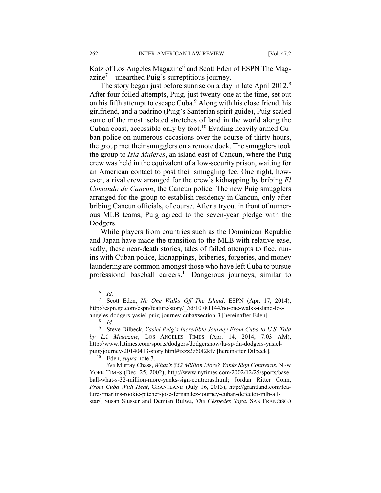Katz of Los Angeles Magazine<sup>6</sup> and Scott Eden of ESPN The Magazine<sup>7</sup>—unearthed Puig's surreptitious journey.

The story began just before sunrise on a day in late April 2012.<sup>8</sup> After four foiled attempts, Puig, just twenty-one at the time, set out on his fifth attempt to escape Cuba.<sup>9</sup> Along with his close friend, his girlfriend, and a padrino (Puig's Santerian spirit guide), Puig scaled some of the most isolated stretches of land in the world along the Cuban coast, accessible only by foot.<sup>10</sup> Evading heavily armed Cuban police on numerous occasions over the course of thirty-hours, the group met their smugglers on a remote dock. The smugglers took the group to *Isla Mujeres*, an island east of Cancun, where the Puig crew was held in the equivalent of a low-security prison, waiting for an American contact to post their smuggling fee. One night, however, a rival crew arranged for the crew's kidnapping by bribing *El Comando de Cancun*, the Cancun police. The new Puig smugglers arranged for the group to establish residency in Cancun, only after bribing Cancun officials, of course. After a tryout in front of numerous MLB teams, Puig agreed to the seven-year pledge with the Dodgers.

While players from countries such as the Dominican Republic and Japan have made the transition to the MLB with relative ease, sadly, these near-death stories, tales of failed attempts to flee, runins with Cuban police, kidnappings, briberies, forgeries, and money laundering are common amongst those who have left Cuba to pursue professional baseball careers.11 Dangerous journeys, similar to

10 Eden, *supra* note 7. 11 *See* Murray Chass, *What's \$32 Million More? Yanks Sign Contreras*, NEW YORK TIMES (Dec. 25, 2002), http://www.nytimes.com/2002/12/25/sports/baseball-what-s-32-million-more-yanks-sign-contreras.html; Jordan Ritter Conn, *From Cuba With Heat*, GRANTLAND (July 16, 2013), http://grantland.com/features/marlins-rookie-pitcher-jose-fernandez-journey-cuban-defector-mlb-allstar/; Susan Slusser and Demian Bulwa, *The Céspedes Saga*, SAN FRANCISCO

 $\overline{\phantom{0}}$  *Id.*

<sup>7</sup> Scott Eden, *No One Walks Off The Island*, ESPN (Apr. 17, 2014), http://espn.go.com/espn/feature/story/\_/id/10781144/no-one-walks-island-losangeles-dodgers-yasiel-puig-journey-cuba#section-3 [hereinafter Eden].

<sup>8</sup>  *Id.*

<sup>9</sup> Steve Dilbeck, *Yasiel Puig's Incredible Journey From Cuba to U.S. Told by LA Magazine*, LOS ANGELES TIMES (Apr. 14, 2014, 7:03 AM), http://www.latimes.com/sports/dodgers/dodgersnow/la-sp-dn-dodgers-yasielpuig-journey-20140413-story.html#ixzz2z60I2kfv [hereinafter Dilbeck].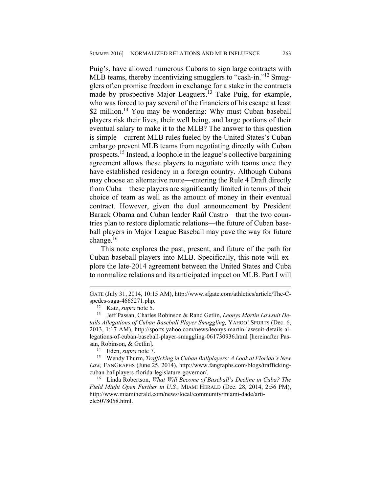Puig's, have allowed numerous Cubans to sign large contracts with MLB teams, thereby incentivizing smugglers to "cash-in."<sup>12</sup> Smugglers often promise freedom in exchange for a stake in the contracts made by prospective Major Leaguers.13 Take Puig, for example, who was forced to pay several of the financiers of his escape at least \$2 million.<sup>14</sup> You may be wondering: Why must Cuban baseball players risk their lives, their well being, and large portions of their eventual salary to make it to the MLB? The answer to this question is simple—current MLB rules fueled by the United States's Cuban embargo prevent MLB teams from negotiating directly with Cuban prospects.15 Instead, a loophole in the league's collective bargaining agreement allows these players to negotiate with teams once they have established residency in a foreign country. Although Cubans may choose an alternative route—entering the Rule 4 Draft directly from Cuba—these players are significantly limited in terms of their choice of team as well as the amount of money in their eventual contract. However, given the dual announcement by President Barack Obama and Cuban leader Raúl Castro—that the two countries plan to restore diplomatic relations—the future of Cuban baseball players in Major League Baseball may pave the way for future change. $16$ 

This note explores the past, present, and future of the path for Cuban baseball players into MLB. Specifically, this note will explore the late-2014 agreement between the United States and Cuba to normalize relations and its anticipated impact on MLB. Part I will

GATE (July 31, 2014, 10:15 AM), http://www.sfgate.com/athletics/article/The-Cspedes-saga-4665271.php. 12 Katz, *supra* note 5.

<sup>13</sup> Jeff Passan, Charles Robinson & Rand Getlin, *Leonys Martin Lawsuit Details Allegations of Cuban Baseball Player Smuggling,* YAHOO! SPORTS (Dec. 6, 2013, 1:17 AM), http://sports.yahoo.com/news/leonys-martin-lawsuit-details-allegations-of-cuban-baseball-player-smuggling-061730936.html [hereinafter Pas-

san, Robinson, & Getlin]. 14 Eden, *supra* note 7.

<sup>15</sup> Wendy Thurm, *Trafficking in Cuban Ballplayers: A Look at Florida's New Law,* FANGRAPHS (June 25, 2014), http://www.fangraphs.com/blogs/traffickingcuban-ballplayers-florida-legislature-governor/.

<sup>16</sup> Linda Robertson, *What Will Become of Baseball's Decline in Cuba? The Field Might Open Further in U.S.*, MIAMI HERALD (Dec. 28, 2014, 2:56 PM), http://www.miamiherald.com/news/local/community/miami-dade/article5078058.html.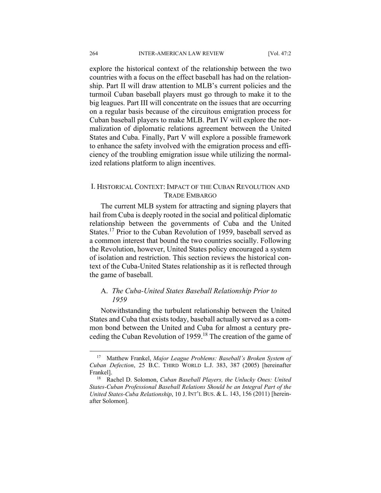explore the historical context of the relationship between the two countries with a focus on the effect baseball has had on the relationship. Part II will draw attention to MLB's current policies and the turmoil Cuban baseball players must go through to make it to the big leagues. Part III will concentrate on the issues that are occurring on a regular basis because of the circuitous emigration process for Cuban baseball players to make MLB. Part IV will explore the normalization of diplomatic relations agreement between the United States and Cuba. Finally, Part V will explore a possible framework to enhance the safety involved with the emigration process and efficiency of the troubling emigration issue while utilizing the normalized relations platform to align incentives.

# I. HISTORICAL CONTEXT: IMPACT OF THE CUBAN REVOLUTION AND TRADE EMBARGO

The current MLB system for attracting and signing players that hail from Cuba is deeply rooted in the social and political diplomatic relationship between the governments of Cuba and the United States.<sup>17</sup> Prior to the Cuban Revolution of 1959, baseball served as a common interest that bound the two countries socially. Following the Revolution, however, United States policy encouraged a system of isolation and restriction. This section reviews the historical context of the Cuba-United States relationship as it is reflected through the game of baseball.

# A. *The Cuba-United States Baseball Relationship Prior to 1959*

Notwithstanding the turbulent relationship between the United States and Cuba that exists today, baseball actually served as a common bond between the United and Cuba for almost a century preceding the Cuban Revolution of 1959.18 The creation of the game of

 <sup>17</sup> Matthew Frankel, *Major League Problems: Baseball's Broken System of Cuban Defection*, 25 B.C. THIRD WORLD L.J. 383, 387 (2005) [hereinafter Frankel].

<sup>18</sup> Rachel D. Solomon, *Cuban Baseball Players, the Unlucky Ones: United States-Cuban Professional Baseball Relations Should be an Integral Part of the United States-Cuba Relationship*, 10 J. INT'L BUS. & L. 143, 156 (2011) [hereinafter Solomon].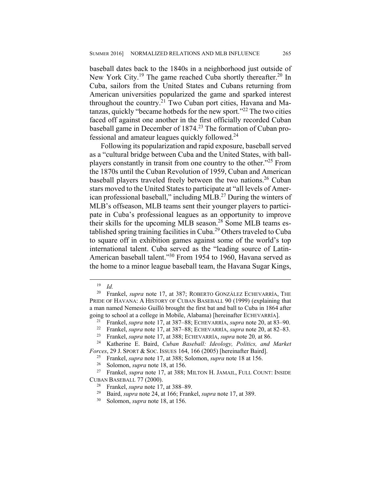baseball dates back to the 1840s in a neighborhood just outside of New York City.<sup>19</sup> The game reached Cuba shortly thereafter.<sup>20</sup> In Cuba, sailors from the United States and Cubans returning from American universities popularized the game and sparked interest throughout the country.<sup>21</sup> Two Cuban port cities, Havana and Matanzas, quickly "became hotbeds for the new sport."22 The two cities faced off against one another in the first officially recorded Cuban baseball game in December of 1874.<sup>23</sup> The formation of Cuban professional and amateur leagues quickly followed.24

Following its popularization and rapid exposure, baseball served as a "cultural bridge between Cuba and the United States, with ballplayers constantly in transit from one country to the other."25 From the 1870s until the Cuban Revolution of 1959, Cuban and American baseball players traveled freely between the two nations.<sup>26</sup> Cuban stars moved to the United States to participate at "all levels of American professional baseball," including MLB.27 During the winters of MLB's offseason, MLB teams sent their younger players to participate in Cuba's professional leagues as an opportunity to improve their skills for the upcoming MLB season.<sup>28</sup> Some MLB teams established spring training facilities in Cuba.29 Others traveled to Cuba to square off in exhibition games against some of the world's top international talent. Cuba served as the "leading source of Latin-American baseball talent."<sup>30</sup> From 1954 to 1960, Havana served as the home to a minor league baseball team, the Havana Sugar Kings,

 <sup>19</sup> *Id.*

<sup>20</sup> Frankel, *supra* note 17, at 387; ROBERTO GONZÁLEZ ECHEVARRÍA, THE PRIDE OF HAVANA: A HISTORY OF CUBAN BASEBALL 90 (1999) (explaining that a man named Nemesio Guilló brought the first bat and ball to Cuba in 1864 after going to school at a college in Mobile, Alabama) [hereinafter ECHEVARRÍA].<br><sup>21</sup> Frankel, *supra* note 17, at 387–88; ECHEVARRÍA, *supra* note 20, at 83–90.<br><sup>22</sup> Frankel, *supra* note 17, at 387–88; ECHEVARRÍA, *supra* note

<sup>23</sup> Frankel, *supra* note 17, at 388; ECHEVARRÍA, *supra* note 20*,* at 86. 24 Katherine E. Baird, *Cuban Baseball: Ideology, Politics, and Market Forces*, 29 J. SPORT & SOC. ISSUES 164, 166 (2005) [hereinafter Baird].

<sup>&</sup>lt;sup>25</sup> Frankel, *supra* note 17, at 388; Solomon, *supra* note 18 at 156.<br><sup>26</sup> Solomon, *supra* note 18, at 156.

<sup>&</sup>lt;sup>26</sup> Solomon, *supra* note 18, at 156.<br><sup>27</sup> Erankel *supra* note 17 at 388.

<sup>27</sup> Frankel, *supra* note 17, at 388; MILTON H. JAMAIL, FULL COUNT: INSIDE CUBAN BASEBALL 77 (2000).

<sup>28</sup> Frankel, *supra* note 17, at 388–89.

<sup>&</sup>lt;sup>29</sup> Baird, *supra* note 24, at 166; Frankel, *supra* note 17, at 389.

<sup>30</sup> Solomon, *supra* note 18, at 156.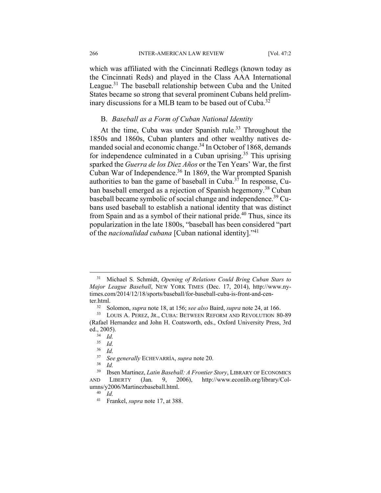266 INTER-AMERICAN LAW REVIEW [Vol. 47:2

which was affiliated with the Cincinnati Redlegs (known today as the Cincinnati Reds) and played in the Class AAA International League.<sup>31</sup> The baseball relationship between Cuba and the United States became so strong that several prominent Cubans held preliminary discussions for a MLB team to be based out of Cuba.<sup>32</sup>

# B. *Baseball as a Form of Cuban National Identity*

At the time, Cuba was under Spanish rule.<sup>33</sup> Throughout the 1850s and 1860s, Cuban planters and other wealthy natives demanded social and economic change.<sup>34</sup> In October of 1868, demands for independence culminated in a Cuban uprising.<sup>35</sup> This uprising sparked the *Guerra de los Diez Años* or the Ten Years' War, the first Cuban War of Independence.36 In 1869, the War prompted Spanish authorities to ban the game of baseball in Cuba. $37$  In response, Cuban baseball emerged as a rejection of Spanish hegemony.<sup>38</sup> Cuban baseball became symbolic of social change and independence.<sup>39</sup> Cubans used baseball to establish a national identity that was distinct from Spain and as a symbol of their national pride.<sup>40</sup> Thus, since its popularization in the late 1800s, "baseball has been considered "part of the *nacionalidad cubana* [Cuban national identity]."41

 <sup>31</sup> Michael S. Schmidt, *Opening of Relations Could Bring Cuban Stars to Major League Baseball*, NEW YORK TIMES (Dec. 17, 2014), http://www.nytimes.com/2014/12/18/sports/baseball/for-baseball-cuba-is-front-and-center.html.<br> $rac{32}{32}$ 

<sup>32</sup> Solomon, *supra* note 18, at 156; *see also* Baird, *supra* note 24, at 166.

<sup>33</sup> LOUIS A. PEREZ, JR., CUBA: BETWEEN REFORM AND REVOLUTION 80-89 (Rafael Hernandez and John H. Coatsworth, eds., Oxford University Press, 3rd ed., 2005).

 $rac{34}{35}$  *Id.* 

 $rac{35}{36}$  *Id.* 

<sup>36</sup> *Id.*

<sup>37</sup> *See generally* ECHEVARRÍA, *supra* note 20.

*Id.* 

<sup>39</sup> Ibsen Martinez, *Latin Baseball: A Frontier Story*, LIBRARY OF ECONOMICS AND LIBERTY (Jan. 9, 2006), http://www.econlib.org/library/Columns/y2006/Martinezbaseball.html.

<sup>40</sup> *Id.*

<sup>41</sup> Frankel, *supra* note 17, at 388.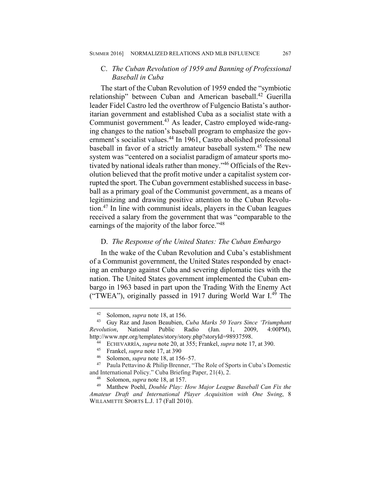# C. *The Cuban Revolution of 1959 and Banning of Professional Baseball in Cuba*

The start of the Cuban Revolution of 1959 ended the "symbiotic relationship" between Cuban and American baseball.<sup>42</sup> Guerilla leader Fidel Castro led the overthrow of Fulgencio Batista's authoritarian government and established Cuba as a socialist state with a Communist government.<sup>43</sup> As leader, Castro employed wide-ranging changes to the nation's baseball program to emphasize the government's socialist values.<sup>44</sup> In 1961, Castro abolished professional baseball in favor of a strictly amateur baseball system.<sup>45</sup> The new system was "centered on a socialist paradigm of amateur sports motivated by national ideals rather than money."46 Officials of the Revolution believed that the profit motive under a capitalist system corrupted the sport. The Cuban government established success in baseball as a primary goal of the Communist government, as a means of legitimizing and drawing positive attention to the Cuban Revolution.47 In line with communist ideals, players in the Cuban leagues received a salary from the government that was "comparable to the earnings of the majority of the labor force."<sup>48</sup>

# D. *The Response of the United States: The Cuban Embargo*

In the wake of the Cuban Revolution and Cuba's establishment of a Communist government, the United States responded by enacting an embargo against Cuba and severing diplomatic ties with the nation. The United States government implemented the Cuban embargo in 1963 based in part upon the Trading With the Enemy Act ("TWEA"), originally passed in 1917 during World War I.<sup>49</sup> The

<sup>&</sup>lt;sup>42</sup> Solomon, *supra* note 18, at 156.<br><sup>43</sup> Guy Raz and Jason Beaubien

<sup>43</sup> Guy Raz and Jason Beaubien, *Cuba Marks 50 Years Since 'Triumphant Revolution*, National Public Radio (Jan. 1, 2009, 4:00PM),

http://www.npr.org/templates/story/story.php?storyId=98937598. 44 ECHEVARRÍA, *supra* note 20, at 355; Frankel, *supra* note 17, at 390.

<sup>&</sup>lt;sup>45</sup> Frankel, *supra* note 17, at 390<br><sup>46</sup> Solomon, *supra* pote 18, at 15

<sup>&</sup>lt;sup>46</sup> Solomon, *supra* note 18, at 156–57.<br><sup>47</sup> Paula Pettavino & Philip Brenner.

Paula Pettavino & Philip Brenner, "The Role of Sports in Cuba's Domestic and International Policy." Cuba Briefing Paper, 21(4), 2.

<sup>&</sup>lt;sup>48</sup> Solomon, *supra* note 18, at 157.<br><sup>49</sup> Matthew Poehl *Double Play: F* 

<sup>49</sup> Matthew Poehl, *Double Play: How Major League Baseball Can Fix the Amateur Draft and International Player Acquisition with One Swing*, 8 WILLAMETTE SPORTS L.J. 17 (Fall 2010).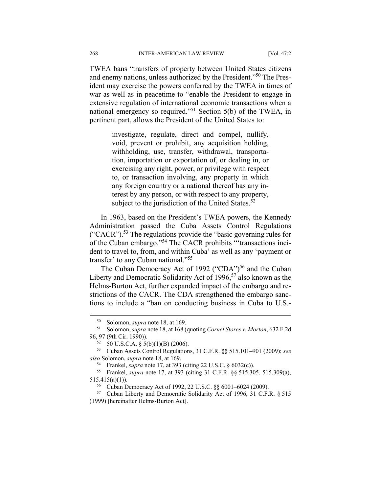TWEA bans "transfers of property between United States citizens and enemy nations, unless authorized by the President."50 The President may exercise the powers conferred by the TWEA in times of war as well as in peacetime to "enable the President to engage in extensive regulation of international economic transactions when a national emergency so required."51 Section 5(b) of the TWEA, in pertinent part, allows the President of the United States to:

> investigate, regulate, direct and compel, nullify, void, prevent or prohibit, any acquisition holding, withholding, use, transfer, withdrawal, transportation, importation or exportation of, or dealing in, or exercising any right, power, or privilege with respect to, or transaction involving, any property in which any foreign country or a national thereof has any interest by any person, or with respect to any property, subject to the jurisdiction of the United States. $52$

In 1963, based on the President's TWEA powers, the Kennedy Administration passed the Cuba Assets Control Regulations  $("CACR")$ .<sup>53</sup> The regulations provide the "basic governing rules for of the Cuban embargo."54 The CACR prohibits "'transactions incident to travel to, from, and within Cuba' as well as any 'payment or transfer' to any Cuban national."55

The Cuban Democracy Act of 1992 ("CDA")<sup>56</sup> and the Cuban Liberty and Democratic Solidarity Act of 1996,<sup>57</sup> also known as the Helms-Burton Act, further expanded impact of the embargo and restrictions of the CACR. The CDA strengthened the embargo sanctions to include a "ban on conducting business in Cuba to U.S.-

 <sup>50</sup> Solomon, *supra* note 18, at 169.

<sup>51</sup> Solomon, *supra* note 18, at 168 (quoting *Cornet Stores v. Morton*, 632 F.2d 96, 97 (9th Cir. 1990)).

 $52$  50 U.S.C.A. § 5(b)(1)(B) (2006).

<sup>53</sup> Cuban Assets Control Regulations, 31 C.F.R. §§ 515.101–901 (2009); *see also* Solomon, *supra* note 18, at 169.

<sup>54</sup> Frankel, *supra* note 17, at 393 (citing 22 U.S.C. § 6032(c)). 55 Frankel, *supra* note 17, at 393 (citing 31 C.F.R. §§ 515.305, 515.309(a), 515.415(a)(1)).

<sup>56</sup> Cuban Democracy Act of 1992, 22 U.S.C. §§ 6001–6024 (2009).

<sup>57</sup> Cuban Liberty and Democratic Solidarity Act of 1996, 31 C.F.R. § 515 (1999) [hereinafter Helms-Burton Act].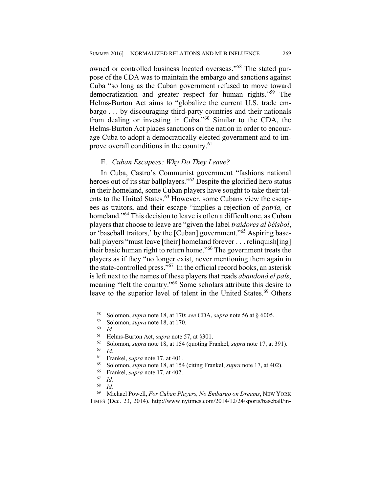owned or controlled business located overseas."<sup>58</sup> The stated purpose of the CDA was to maintain the embargo and sanctions against Cuba "so long as the Cuban government refused to move toward democratization and greater respect for human rights."59 The Helms-Burton Act aims to "globalize the current U.S. trade embargo . . . by discouraging third-party countries and their nationals from dealing or investing in Cuba."<sup>60</sup> Similar to the CDA, the Helms-Burton Act places sanctions on the nation in order to encourage Cuba to adopt a democratically elected government and to improve overall conditions in the country.<sup>61</sup>

#### E. *Cuban Escapees: Why Do They Leave?*

In Cuba, Castro's Communist government "fashions national heroes out of its star ballplayers."<sup>62</sup> Despite the glorified hero status in their homeland, some Cuban players have sought to take their talents to the United States.<sup>63</sup> However, some Cubans view the escapees as traitors, and their escape "implies a rejection of *patria,* or homeland."<sup>64</sup> This decision to leave is often a difficult one, as Cuban players that choose to leave are "given the label *traidores al béisbol*, or 'baseball traitors,' by the [Cuban] government."65 Aspiring baseball players "must leave [their] homeland forever . . . relinquish[ing] their basic human right to return home."66 The government treats the players as if they "no longer exist, never mentioning them again in the state-controlled press."67 In the official record books, an asterisk is left next to the names of these players that reads *abandonó el país*, meaning "left the country."68 Some scholars attribute this desire to leave to the superior level of talent in the United States.<sup>69</sup> Others

 <sup>58</sup> Solomon, *supra* note 18, at 170; *see* CDA, *supra* note 56 at § 6005.

 $^{59}$  Solomon, *supra* note 18, at 170.

 $\begin{array}{cc} 60 & Id. \\ 61 & H. \end{array}$ 

<sup>61</sup> Helms-Burton Act, *supra* note 57, at §301.

<sup>&</sup>lt;sup>62</sup> Solomon, *supra* note 18, at 154 (quoting Frankel, *supra* note 17, at 391).

<sup>63</sup> *Id.*

<sup>64</sup> Frankel, *supra* note 17, at 401.

<sup>&</sup>lt;sup>65</sup> Solomon, *supra* note 18, at 154 (citing Frankel, *supra* note 17, at 402).<br><sup>66</sup> Erankel, *supra* note 17, at 402

 $^{66}$  Frankel, *supra* note 17, at 402.

<sup>67</sup> *Id.*

 $\frac{68}{69}$  *Id.* 

<sup>69</sup> Michael Powell, *For Cuban Players, No Embargo on Dreams*, NEW YORK TIMES (Dec. 23, 2014), http://www.nytimes.com/2014/12/24/sports/baseball/in-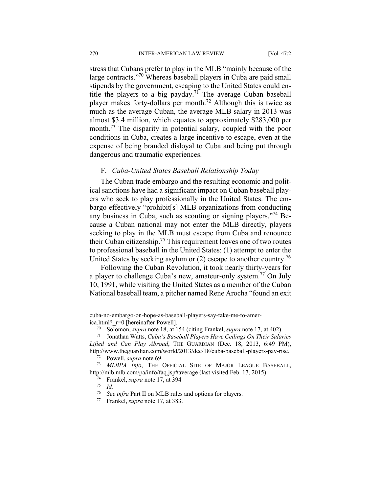stress that Cubans prefer to play in the MLB "mainly because of the large contracts."70 Whereas baseball players in Cuba are paid small stipends by the government, escaping to the United States could entitle the players to a big payday.<sup>71</sup> The average Cuban baseball player makes forty-dollars per month.72 Although this is twice as much as the average Cuban, the average MLB salary in 2013 was almost \$3.4 million, which equates to approximately \$283,000 per month.<sup>73</sup> The disparity in potential salary, coupled with the poor conditions in Cuba, creates a large incentive to escape, even at the expense of being branded disloyal to Cuba and being put through dangerous and traumatic experiences.

### F. *Cuba-United States Baseball Relationship Today*

The Cuban trade embargo and the resulting economic and political sanctions have had a significant impact on Cuban baseball players who seek to play professionally in the United States. The embargo effectively "prohibit[s] MLB organizations from conducting any business in Cuba, such as scouting or signing players."74 Because a Cuban national may not enter the MLB directly, players seeking to play in the MLB must escape from Cuba and renounce their Cuban citizenship.75 This requirement leaves one of two routes to professional baseball in the United States: (1) attempt to enter the United States by seeking asylum or  $(2)$  escape to another country.<sup>76</sup>

Following the Cuban Revolution, it took nearly thirty-years for a player to challenge Cuba's new, amateur-only system.77 On July 10, 1991, while visiting the United States as a member of the Cuban National baseball team, a pitcher named Rene Arocha "found an exit

cuba-no-embargo-on-hope-as-baseball-players-say-take-me-to-america.html?\_r=0 [hereinafter Powell].

 $\frac{72}{73}$  Powell, *supra* note 69.<br> $\frac{73}{73}$  *MIRPA Info* 

MLBPA Info, THE OFFICIAL SITE OF MAJOR LEAGUE BASEBALL, http://mlb.mlb.com/pa/info/faq.jsp#average (last visited Feb. 17, 2015).<br><sup>74</sup> Erankel, sung pote 17, at 394

- 74 Frankel, *supra* note 17, at 394 75 *Id.*
- 

<u>.</u>

<sup>76</sup> *See infra* Part II on MLB rules and options for players. 77 Frankel, *supra* note 17, at 383.

<sup>70</sup> Solomon, *supra* note 18, at 154 (citing Frankel, *supra* note 17, at 402).

<sup>71</sup> Jonathan Watts, *Cuba's Baseball Players Have Ceilings On Their Salaries Lifted and Can Play Abroad*, THE GUARDIAN (Dec. 18, 2013, 6:49 PM), http://www.theguardian.com/world/2013/dec/18/cuba-baseball-players-pay-rise.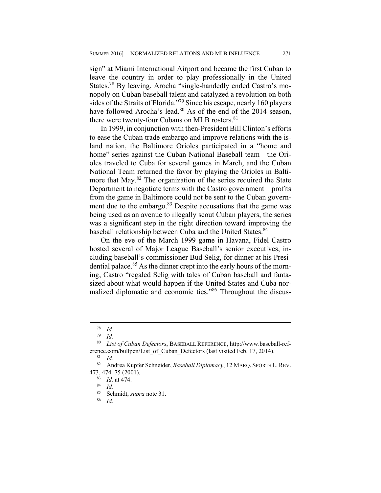sign" at Miami International Airport and became the first Cuban to leave the country in order to play professionally in the United States.78 By leaving, Arocha "single-handedly ended Castro's monopoly on Cuban baseball talent and catalyzed a revolution on both sides of the Straits of Florida."79 Since his escape, nearly 160 players have followed Arocha's lead.<sup>80</sup> As of the end of the 2014 season, there were twenty-four Cubans on MLB rosters.<sup>81</sup>

In 1999, in conjunction with then-President Bill Clinton's efforts to ease the Cuban trade embargo and improve relations with the island nation, the Baltimore Orioles participated in a "home and home" series against the Cuban National Baseball team—the Orioles traveled to Cuba for several games in March, and the Cuban National Team returned the favor by playing the Orioles in Baltimore that May.<sup>82</sup> The organization of the series required the State Department to negotiate terms with the Castro government—profits from the game in Baltimore could not be sent to the Cuban government due to the embargo.<sup>83</sup> Despite accusations that the game was being used as an avenue to illegally scout Cuban players, the series was a significant step in the right direction toward improving the baseball relationship between Cuba and the United States.<sup>84</sup>

On the eve of the March 1999 game in Havana, Fidel Castro hosted several of Major League Baseball's senior executives, including baseball's commissioner Bud Selig, for dinner at his Presidential palace.<sup>85</sup> As the dinner crept into the early hours of the morning, Castro "regaled Selig with tales of Cuban baseball and fantasized about what would happen if the United States and Cuba normalized diplomatic and economic ties."86 Throughout the discus-

 $\frac{78}{79}$  *Id.* 

 $\frac{79}{80}$  *Id.* 

<sup>80</sup> *List of Cuban Defectors*, BASEBALL REFERENCE, http://www.baseball-reference.com/bullpen/List of Cuban Defectors (last visited Feb. 17, 2014).

 $rac{81}{82}$  *Id.* 

<sup>82</sup> Andrea Kupfer Schneider, *Baseball Diplomacy*, 12 MARQ. SPORTS L. REV. 473, 474–75 (2001).<br><sup>83</sup> Id at 474

 $\frac{83}{84}$  *Id.* at 474.

 $rac{84}{85}$  *Id.* 

<sup>&</sup>lt;sup>85</sup> Schmidt, *supra* note 31.

*Id.*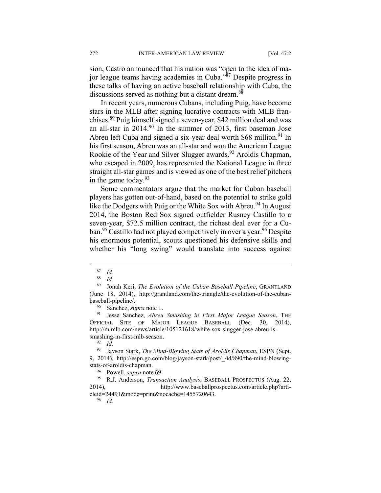sion, Castro announced that his nation was "open to the idea of major league teams having academies in Cuba."87 Despite progress in these talks of having an active baseball relationship with Cuba, the discussions served as nothing but a distant dream.<sup>88</sup>

In recent years, numerous Cubans, including Puig, have become stars in the MLB after signing lucrative contracts with MLB franchises.89 Puig himself signed a seven-year, \$42 million deal and was an all-star in 2014.90 In the summer of 2013, first baseman Jose Abreu left Cuba and signed a six-year deal worth  $$68$  million.<sup>91</sup> In his first season, Abreu was an all-star and won the American League Rookie of the Year and Silver Slugger awards.<sup>92</sup> Aroldis Chapman, who escaped in 2009, has represented the National League in three straight all-star games and is viewed as one of the best relief pitchers in the game today. $93$ 

Some commentators argue that the market for Cuban baseball players has gotten out-of-hand, based on the potential to strike gold like the Dodgers with Puig or the White Sox with Abreu.<sup>94</sup> In August 2014, the Boston Red Sox signed outfielder Rusney Castillo to a seven-year, \$72.5 million contract, the richest deal ever for a Cuban.<sup>95</sup> Castillo had not played competitively in over a year.<sup>96</sup> Despite his enormous potential, scouts questioned his defensive skills and whether his "long swing" would translate into success against

<sup>90</sup> Sanchez, *supra* note 1.<br><sup>91</sup> Iesse Sanchez *Abreu* 

91 Jesse Sanchez, *Abreu Smashing in First Major League Season*, THE OFFICIAL SITE OF MAJOR LEAGUE BASEBALL (Dec. 30, 2014), http://m.mlb.com/news/article/105121618/white-sox-slugger-jose-abreu-issmashing-in-first-mlb-season.

94 Powell, *supra* note 69.

95 R.J. Anderson, *Transaction Analysis*, BASEBALL PROSPECTUS (Aug. 22, 2014), http://www.baseballprospectus.com/article.php?articleid=24491&mode=print&nocache=1455720643.

96 *Id.*

 $rac{87}{88}$  *Id.* 

*Id.* 

<sup>89</sup> Jonah Keri, *The Evolution of the Cuban Baseball Pipeline*, GRANTLAND (June 18, 2014), http://grantland.com/the-triangle/the-evolution-of-the-cubanbaseball-pipeline/.

<sup>92</sup> *Id.*

<sup>93</sup> Jayson Stark, *The Mind-Blowing Stats of Aroldis Chapman*, ESPN (Sept. 9, 2014), http://espn.go.com/blog/jayson-stark/post/\_/id/890/the-mind-blowingstats-of-aroldis-chapman.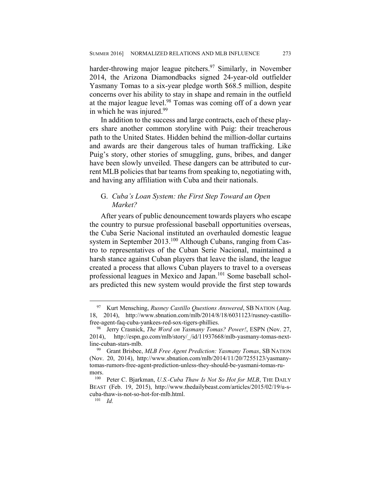harder-throwing major league pitchers.<sup>97</sup> Similarly, in November 2014, the Arizona Diamondbacks signed 24-year-old outfielder Yasmany Tomas to a six-year pledge worth \$68.5 million, despite concerns over his ability to stay in shape and remain in the outfield at the major league level.<sup>98</sup> Tomas was coming off of a down year in which he was injured.<sup>99</sup>

In addition to the success and large contracts, each of these players share another common storyline with Puig: their treacherous path to the United States. Hidden behind the million-dollar curtains and awards are their dangerous tales of human trafficking. Like Puig's story, other stories of smuggling, guns, bribes, and danger have been slowly unveiled. These dangers can be attributed to current MLB policies that bar teams from speaking to, negotiating with, and having any affiliation with Cuba and their nationals.

# G. *Cuba's Loan System: the First Step Toward an Open Market?*

After years of public denouncement towards players who escape the country to pursue professional baseball opportunities overseas, the Cuba Serie Nacional instituted an overhauled domestic league system in September 2013.100 Although Cubans, ranging from Castro to representatives of the Cuban Serie Nacional, maintained a harsh stance against Cuban players that leave the island, the league created a process that allows Cuban players to travel to a overseas professional leagues in Mexico and Japan.<sup>101</sup> Some baseball scholars predicted this new system would provide the first step towards

 <sup>97</sup> Kurt Mensching, *Rusney Castillo Questions Answered*, SB NATION (Aug. 18, 2014), http://www.sbnation.com/mlb/2014/8/18/6031123/rusney-castillofree-agent-faq-cuba-yankees-red-sox-tigers-phillies.

<sup>98</sup> Jerry Crasnick, *The Word on Yasmany Tomas? Power!*, ESPN (Nov. 27, 2014), http://espn.go.com/mlb/story/\_/id/11937668/mlb-yasmany-tomas-nextline-cuban-stars-mlb.

<sup>99</sup> Grant Brisbee, *MLB Free Agent Prediction: Yasmany Tomas*, SB NATION (Nov. 20, 2014), http://www.sbnation.com/mlb/2014/11/20/7255123/yasmanytomas-rumors-free-agent-prediction-unless-they-should-be-yasmani-tomas-ru- $\frac{\text{mors.}}{100}$ 

Peter C. Bjarkman, *U.S.-Cuba Thaw Is Not So Hot for MLB*, THE DAILY BEAST (Feb. 19, 2015), http://www.thedailybeast.com/articles/2015/02/19/u-scuba-thaw-is-not-so-hot-for-mlb.html.

<sup>101</sup> *Id.*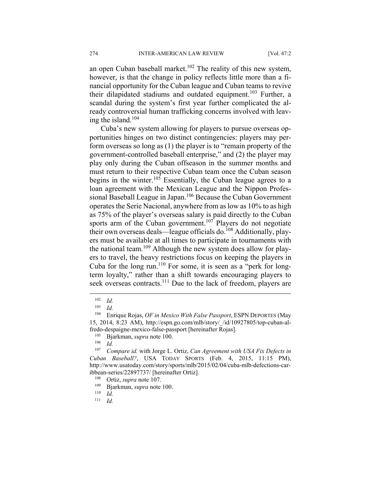an open Cuban baseball market.<sup>102</sup> The reality of this new system, however, is that the change in policy reflects little more than a financial opportunity for the Cuban league and Cuban teams to revive their dilapidated stadiums and outdated equipment.<sup>103</sup> Further, a scandal during the system's first year further complicated the already controversial human trafficking concerns involved with leaving the island.<sup>104</sup>

Cuba's new system allowing for players to pursue overseas opportunities hinges on two distinct contingencies: players may perform overseas so long as (1) the player is to "remain property of the government-controlled baseball enterprise," and (2) the player may play only during the Cuban offseason in the summer months and must return to their respective Cuban team once the Cuban season begins in the winter.<sup>105</sup> Essentially, the Cuban league agrees to a loan agreement with the Mexican League and the Nippon Professional Baseball League in Japan.106 Because the Cuban Government operates the Serie Nacional, anywhere from as low as 10% to as high as 75% of the player's overseas salary is paid directly to the Cuban sports arm of the Cuban government.<sup>107</sup> Players do not negotiate their own overseas deals—league officials do.<sup>108</sup> Additionally, players must be available at all times to participate in tournaments with the national team.<sup>109</sup> Although the new system does allow for players to travel, the heavy restrictions focus on keeping the players in Cuba for the long run.<sup>110</sup> For some, it is seen as a "perk for longterm loyalty," rather than a shift towards encouraging players to seek overseas contracts.<sup>111</sup> Due to the lack of freedom, players are

 $\overline{a}$ 

111 *Id.*

 $\frac{102}{103}$  *Id.* 

 $\frac{103}{104}$  *Id.* 

<sup>104</sup> Enrique Rojas, *OF in Mexico With False Passport*, ESPN DEPORTES (May 15, 2014, 8:23 AM), http://espn.go.com/mlb/story/\_/id/10927805/top-cuban-alfredo-despaigne-mexico-false-passport [hereinafter Rojas].

<sup>105</sup> Bjarkman, *supra* note 100.

*Id.* 

<sup>107</sup> *Compare id.* with Jorge L. Ortiz, *Can Agreement with USA Fix Defects in Cuban Baseball?*, USA TODAY SPORTS (Feb. 4, 2015, 11:15 PM), http://www.usatoday.com/story/sports/mlb/2015/02/04/cuba-mlb-defections-caribbean-series/22897737/ [hereinafter Ortiz].<br> $^{108}$  Ortiz, supra pote 107

<sup>108</sup> Ortiz, *supra* note 107.

<sup>109</sup> Bjarkman, *supra* note 100.

 $\frac{110}{111}$  *Id.*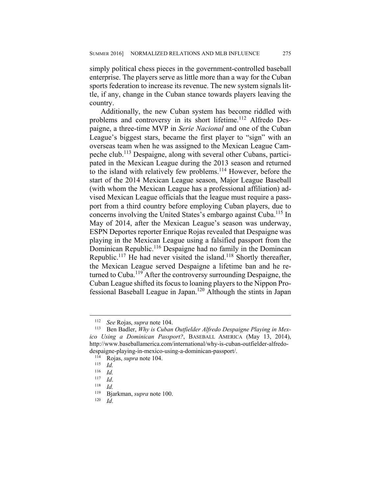simply political chess pieces in the government-controlled baseball enterprise. The players serve as little more than a way for the Cuban sports federation to increase its revenue. The new system signals little, if any, change in the Cuban stance towards players leaving the country.

Additionally, the new Cuban system has become riddled with problems and controversy in its short lifetime.<sup>112</sup> Alfredo Despaigne, a three-time MVP in *Serie Nacional* and one of the Cuban League's biggest stars, became the first player to "sign" with an overseas team when he was assigned to the Mexican League Campeche club.113 Despaigne, along with several other Cubans, participated in the Mexican League during the 2013 season and returned to the island with relatively few problems.114 However, before the start of the 2014 Mexican League season, Major League Baseball (with whom the Mexican League has a professional affiliation) advised Mexican League officials that the league must require a passport from a third country before employing Cuban players, due to concerns involving the United States's embargo against Cuba.<sup>115</sup> In May of 2014, after the Mexican League's season was underway, ESPN Deportes reporter Enrique Rojas revealed that Despaigne was playing in the Mexican League using a falsified passport from the Dominican Republic.116 Despaigne had no family in the Domincan Republic.<sup>117</sup> He had never visited the island.<sup>118</sup> Shortly thereafter, the Mexican League served Despaigne a lifetime ban and he returned to Cuba.<sup>119</sup> After the controversy surrounding Despaigne, the Cuban League shifted its focus to loaning players to the Nippon Professional Baseball League in Japan.120 Although the stints in Japan

<u>.</u>

<sup>112</sup> *See* Rojas, *supra* note 104.

Ben Badler, *Why is Cuban Outfielder Alfredo Despaigne Playing in Mexico Using a Dominican Passport?*, BASEBALL AMERICA (May 13, 2014), http://www.baseballamerica.com/international/why-is-cuban-outfielder-alfredodespaigne-playing-in-mexico-using-a-dominican-passport/. 114 Rojas, *supra* note 104.

 $\frac{115}{116}$  *Id.* 

 $\frac{116}{117}$  *Id.* 

<sup>117</sup> *Id*. 118 *Id.* 

<sup>119</sup> Bjarkman, *supra* note 100.

<sup>120</sup> *Id*.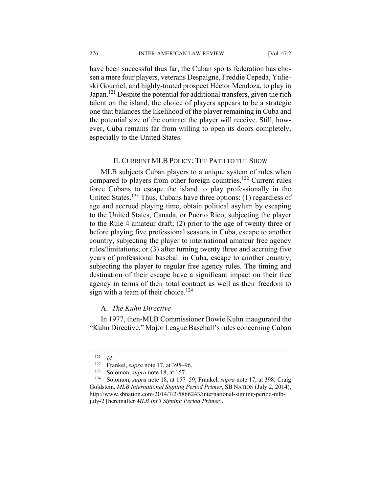have been successful thus far, the Cuban sports federation has chosen a mere four players, veterans Despaigne, Freddie Cepeda, Yulieski Gourriel, and highly-touted prospect Héctor Mendoza, to play in Japan.<sup>121</sup> Despite the potential for additional transfers, given the rich talent on the island, the choice of players appears to be a strategic one that balances the likelihood of the player remaining in Cuba and the potential size of the contract the player will receive. Still, however, Cuba remains far from willing to open its doors completely, especially to the United States.

#### II. CURRENT MLB POLICY: THE PATH TO THE SHOW

MLB subjects Cuban players to a unique system of rules when compared to players from other foreign countries.<sup>122</sup> Current rules force Cubans to escape the island to play professionally in the United States.<sup>123</sup> Thus, Cubans have three options: (1) regardless of age and accrued playing time, obtain political asylum by escaping to the United States, Canada, or Puerto Rico, subjecting the player to the Rule 4 amateur draft; (2) prior to the age of twenty three or before playing five professional seasons in Cuba, escape to another country, subjecting the player to international amateur free agency rules/limitations; or (3) after turning twenty three and accruing five years of professional baseball in Cuba, escape to another country, subjecting the player to regular free agency rules. The timing and destination of their escape have a significant impact on their free agency in terms of their total contract as well as their freedom to sign with a team of their choice.<sup>124</sup>

### A. *The Kuhn Directive*

In 1977, then-MLB Commissioner Bowie Kuhn inaugurated the "Kuhn Directive," Major League Baseball's rules concerning Cuban

<u>.</u>

 $\frac{121}{122}$  *Id.* 

<sup>&</sup>lt;sup>122</sup> Frankel, *supra* note 17, at 395–96.<br><sup>123</sup> Solomon, *supra* note 18, at 157

<sup>&</sup>lt;sup>123</sup> Solomon, *supra* note 18, at 157.<br><sup>124</sup> Solomon, *supra* note 18, at 157–59; Frankel, *supra* note 17, at 398; Craig Goldstein, *MLB International Signing Period Primer*, SB NATION (July 2, 2014), http://www.sbnation.com/2014/7/2/5866243/international-signing-period-mlbjuly-2 [hereinafter *MLB Int'l Signing Period Primer*].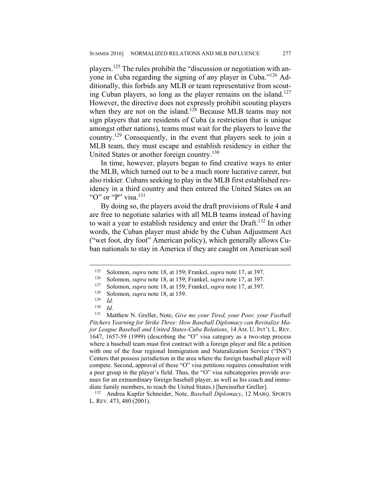players.125 The rules prohibit the "discussion or negotiation with anyone in Cuba regarding the signing of any player in Cuba."126 Additionally, this forbids any MLB or team representative from scouting Cuban players, so long as the player remains on the island.<sup>127</sup> However, the directive does not expressly prohibit scouting players when they are not on the island.<sup>128</sup> Because MLB teams may not sign players that are residents of Cuba (a restriction that is unique amongst other nations), teams must wait for the players to leave the country.129 Consequently, in the event that players seek to join a MLB team, they must escape and establish residency in either the United States or another foreign country.<sup>130</sup>

In time, however, players began to find creative ways to enter the MLB, which turned out to be a much more lucrative career, but also riskier. Cubans seeking to play in the MLB first established residency in a third country and then entered the United States on an "O" or "P" visa.<sup>131</sup>

By doing so, the players avoid the draft provisions of Rule 4 and are free to negotiate salaries with all MLB teams instead of having to wait a year to establish residency and enter the Draft.132 In other words, the Cuban player must abide by the Cuban Adjustment Act ("wet foot, dry foot" American policy), which generally allows Cuban nationals to stay in America if they are caught on American soil

<sup>125</sup> Solomon, *supra* note 18, at 159; Frankel, *supra* note 17, at 397.

<sup>126</sup> Solomon, *supra* note 18, at 159; Frankel, *supra* note 17, at 397.

<sup>127</sup> Solomon, *supra* note 18, at 159; Frankel, *supra* note 17, at 397.

<sup>&</sup>lt;sup>128</sup> Solomon, *supra* note 18, at 159.

 $\frac{129}{130}$  *Id.* 

 $\frac{130}{131}$  *Id.* 

Matthew N. Greller, Note, *Give me your Tired, your Poor, your Fastball Pitchers Yearning for Strike Three: How Baseball Diplomacy can Revitalize Major League Baseball and United States-Cuba Relations*, 14 AM. U. INT'L L. REV. 1647, 1657-59 (1999) (describing the "O" visa category as a two-step process where a baseball team must first contract with a foreign player and file a petition with one of the four regional Immigration and Naturalization Service ("INS") Centers that possess jurisdiction in the area where the foreign baseball player will compete. Second, approval of these "O" visa petitions requires consultation with a peer group in the player's field. Thus, the "O" visa subcategories provide avenues for an extraordinary foreign baseball player, as well as his coach and immediate family members, to reach the United States.) [hereinafter Greller].

<sup>132</sup> Andrea Kupfer Schneider, Note, *Baseball Diplomacy*, 12 MARQ. SPORTS L. REV. 473, 480 (2001).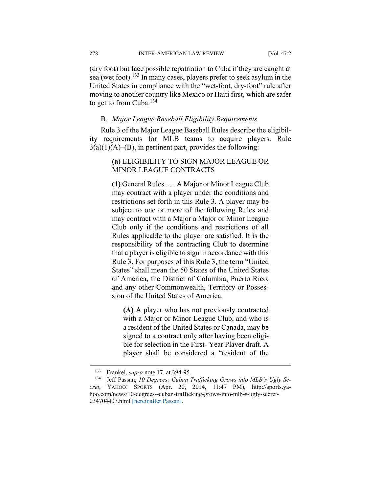278 INTER-AMERICAN LAW REVIEW [Vol. 47:2

(dry foot) but face possible repatriation to Cuba if they are caught at sea (wet foot).<sup>133</sup> In many cases, players prefer to seek asylum in the United States in compliance with the "wet-foot, dry-foot" rule after moving to another country like Mexico or Haiti first, which are safer to get to from Cuba.<sup>134</sup>

#### B. *Major League Baseball Eligibility Requirements*

Rule 3 of the Major League Baseball Rules describe the eligibility requirements for MLB teams to acquire players. Rule  $3(a)(1)(A)$ –(B), in pertinent part, provides the following:

# **(a)** ELIGIBILITY TO SIGN MAJOR LEAGUE OR MINOR LEAGUE CONTRACTS

**(1)** General Rules . . . A Major or Minor League Club may contract with a player under the conditions and restrictions set forth in this Rule 3. A player may be subject to one or more of the following Rules and may contract with a Major a Major or Minor League Club only if the conditions and restrictions of all Rules applicable to the player are satisfied. It is the responsibility of the contracting Club to determine that a player is eligible to sign in accordance with this Rule 3. For purposes of this Rule 3, the term "United States" shall mean the 50 States of the United States of America, the District of Columbia, Puerto Rico, and any other Commonwealth, Territory or Possession of the United States of America.

**(A)** A player who has not previously contracted with a Major or Minor League Club, and who is a resident of the United States or Canada, may be signed to a contract only after having been eligible for selection in the First- Year Player draft. A player shall be considered a "resident of the

<sup>&</sup>lt;sup>133</sup> Frankel, *supra* note 17, at 394-95.<br><sup>134</sup> Jeff Passan *10 Degrees: Cuban* 1

Jeff Passan, 10 Degrees: Cuban Trafficking Grows into MLB's Ugly Se*cret*, YAHOO! SPORTS (Apr. 20, 2014, 11:47 PM), http://sports.yahoo.com/news/10-degrees--cuban-trafficking-grows-into-mlb-s-ugly-secret-034704407.html [hereinafter Passan].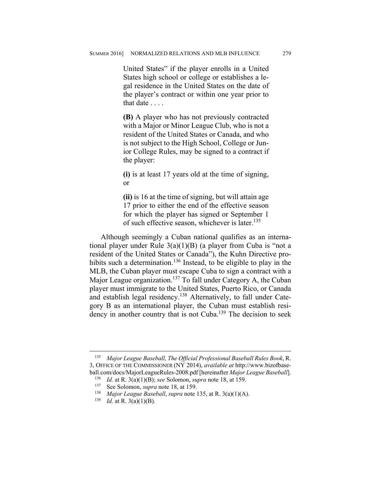United States" if the player enrolls in a United States high school or college or establishes a legal residence in the United States on the date of the player's contract or within one year prior to that date . . . .

**(B)** A player who has not previously contracted with a Major or Minor League Club, who is not a resident of the United States or Canada, and who is not subject to the High School, College or Junior College Rules, may be signed to a contract if the player:

**(i)** is at least 17 years old at the time of signing, or

**(ii)** is 16 at the time of signing, but will attain age 17 prior to either the end of the effective season for which the player has signed or September 1 of such effective season, whichever is later.<sup>135</sup>

Although seemingly a Cuban national qualifies as an international player under Rule 3(a)(1)(B) (a player from Cuba is "not a resident of the United States or Canada"), the Kuhn Directive prohibits such a determination.<sup>136</sup> Instead, to be eligible to play in the MLB, the Cuban player must escape Cuba to sign a contract with a Major League organization.<sup>137</sup> To fall under Category A, the Cuban player must immigrate to the United States, Puerto Rico, or Canada and establish legal residency.138 Alternatively, to fall under Category B as an international player, the Cuban must establish residency in another country that is not Cuba.<sup>139</sup> The decision to seek

<sup>135</sup> *Major League Baseball, The Official Professional Baseball Rules Book*, R. 3, OFFICE OF THE COMMISSIONER (NY 2014), *available at* http://www.bizofbaseball.com/docs/MajorLeagueRules-2008.pdf [hereinafter *Major League Baseball*].

<sup>136</sup> *Id.* at R. 3(a)(1)(B); *see* Solomon, *supra* note 18, at 159.

See Solomon, *supra* note 18, at 159.

<sup>&</sup>lt;sup>138</sup> *Major League Baseball*, *supra* note 135, at R. 3(a)(1)(A).<br><sup>139</sup> *Id at R* 3(a)(1)(B)

*Id.* at R. 3(a)(1)(B).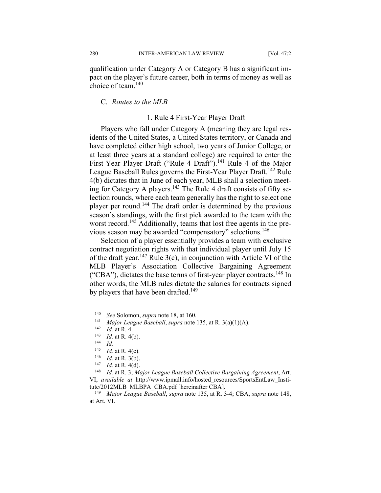qualification under Category A or Category B has a significant impact on the player's future career, both in terms of money as well as choice of team<sup>140</sup>

# C. *Routes to the MLB*

### 1. Rule 4 First-Year Player Draft

Players who fall under Category A (meaning they are legal residents of the United States, a United States territory, or Canada and have completed either high school, two years of Junior College, or at least three years at a standard college) are required to enter the First-Year Player Draft ("Rule 4 Draft").<sup>141</sup> Rule 4 of the Major League Baseball Rules governs the First-Year Player Draft.<sup>142</sup> Rule 4(b) dictates that in June of each year, MLB shall a selection meeting for Category A players.<sup>143</sup> The Rule 4 draft consists of fifty selection rounds, where each team generally has the right to select one player per round.144 The draft order is determined by the previous season's standings, with the first pick awarded to the team with the worst record.<sup>145</sup> Additionally, teams that lost free agents in the previous season may be awarded "compensatory" selections.<sup>146</sup>

Selection of a player essentially provides a team with exclusive contract negotiation rights with that individual player until July 15 of the draft year.<sup>147</sup> Rule 3(c), in conjunction with Article VI of the MLB Player's Association Collective Bargaining Agreement ("CBA"), dictates the base terms of first-year player contracts.<sup>148</sup> In other words, the MLB rules dictate the salaries for contracts signed by players that have been drafted.<sup>149</sup>

<sup>140</sup> *See* Solomon, *supra* note 18, at 160.<br>
141 *Major League Baseball*, *supra* note 135, at R. 3(a)(1)(A).<br>
142 *Id.* at R. 4.<br>
143 *Id.* at R. 4.

<sup>&</sup>lt;sup>143</sup> *Id.* at R. 4(b).<br><sup>144</sup> *Id.*<br><sup>145</sup> *Id* at R 4(c)

<sup>&</sup>lt;sup>145</sup> *Id.* at R. 4(c).<br><sup>146</sup> *Id.* at R. 3(b)

<sup>&</sup>lt;sup>146</sup> *Id.* at R. 3(b).<br><sup>147</sup> *Id.* at P. 4(d)

 $\frac{147}{148}$  *Id.* at R. 4(d).

<sup>148</sup> *Id.* at R. 3; *Major League Baseball Collective Bargaining Agreement*, Art. VI, *available at* http://www.ipmall.info/hosted\_resources/SportsEntLaw\_Institute/2012MLB\_MLBPA\_CBA.pdf [hereinafter CBA].

<sup>149</sup> *Major League Baseball*, *supra* note 135, at R. 3-4; CBA, *supra* note 148, at Art. VI.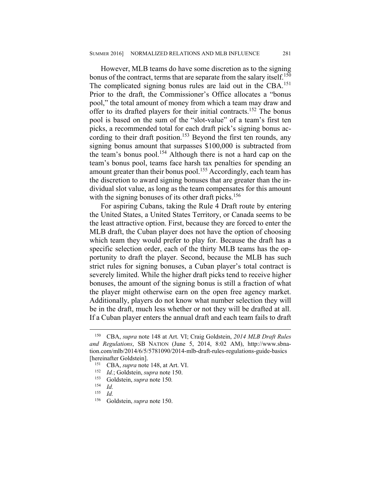However, MLB teams do have some discretion as to the signing bonus of the contract, terms that are separate from the salary itself.<sup>150</sup> The complicated signing bonus rules are laid out in the CBA.<sup>151</sup> Prior to the draft, the Commissioner's Office allocates a "bonus pool," the total amount of money from which a team may draw and offer to its drafted players for their initial contracts.152 The bonus pool is based on the sum of the "slot-value" of a team's first ten picks, a recommended total for each draft pick's signing bonus according to their draft position.<sup>153</sup> Beyond the first ten rounds, any signing bonus amount that surpasses \$100,000 is subtracted from the team's bonus pool.<sup>154</sup> Although there is not a hard cap on the team's bonus pool, teams face harsh tax penalties for spending an amount greater than their bonus pool.<sup>155</sup> Accordingly, each team has the discretion to award signing bonuses that are greater than the individual slot value, as long as the team compensates for this amount with the signing bonuses of its other draft picks.<sup>156</sup>

For aspiring Cubans, taking the Rule 4 Draft route by entering the United States, a United States Territory, or Canada seems to be the least attractive option. First, because they are forced to enter the MLB draft, the Cuban player does not have the option of choosing which team they would prefer to play for. Because the draft has a specific selection order, each of the thirty MLB teams has the opportunity to draft the player. Second, because the MLB has such strict rules for signing bonuses, a Cuban player's total contract is severely limited. While the higher draft picks tend to receive higher bonuses, the amount of the signing bonus is still a fraction of what the player might otherwise earn on the open free agency market. Additionally, players do not know what number selection they will be in the draft, much less whether or not they will be drafted at all. If a Cuban player enters the annual draft and each team fails to draft

<sup>150</sup> CBA, *supra* note 148 at Art. VI; Craig Goldstein, *2014 MLB Draft Rules and Regulations*, SB NATION (June 5, 2014, 8:02 AM), http://www.sbnation.com/mlb/2014/6/5/5781090/2014-mlb-draft-rules-regulations-guide-basics [hereinafter Goldstein].

<sup>&</sup>lt;sup>151</sup> CBA, *supra* note 148, at Art. VI.<br><sup>152</sup> Id: Goldstein, *supra* pote 150

<sup>152</sup> *Id.*; Goldstein, *supra* note 150.

<sup>153</sup> Goldstein, *supra* note 150*.*

 $\frac{154}{155}$  *Id.* 

<sup>155</sup> *Id.*

<sup>156</sup> Goldstein, *supra* note 150.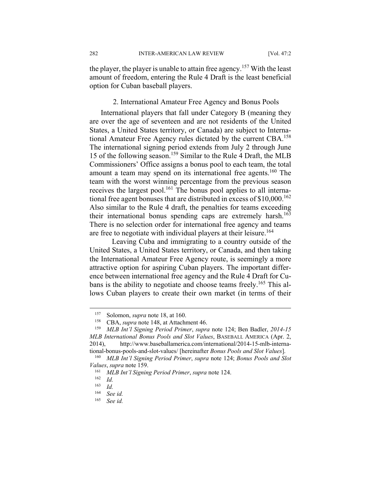the player, the player is unable to attain free agency.<sup>157</sup> With the least amount of freedom, entering the Rule 4 Draft is the least beneficial option for Cuban baseball players.

#### 2. International Amateur Free Agency and Bonus Pools

International players that fall under Category B (meaning they are over the age of seventeen and are not residents of the United States, a United States territory, or Canada) are subject to International Amateur Free Agency rules dictated by the current CBA.<sup>158</sup> The international signing period extends from July 2 through June 15 of the following season.159 Similar to the Rule 4 Draft, the MLB Commissioners' Office assigns a bonus pool to each team, the total amount a team may spend on its international free agents.160 The team with the worst winning percentage from the previous season receives the largest pool.<sup>161</sup> The bonus pool applies to all international free agent bonuses that are distributed in excess of  $$10,000$ <sup>162</sup> Also similar to the Rule 4 draft, the penalties for teams exceeding their international bonus spending caps are extremely harsh.<sup>163</sup> There is no selection order for international free agency and teams are free to negotiate with individual players at their leisure.<sup>164</sup>

 Leaving Cuba and immigrating to a country outside of the United States, a United States territory, or Canada, and then taking the International Amateur Free Agency route, is seemingly a more attractive option for aspiring Cuban players. The important difference between international free agency and the Rule 4 Draft for Cubans is the ability to negotiate and choose teams freely.<sup>165</sup> This allows Cuban players to create their own market (in terms of their

<sup>&</sup>lt;sup>157</sup> Solomon, *supra* note 18, at 160.

<sup>&</sup>lt;sup>158</sup> CBA, *supra* note 148, at Attachment 46.<br><sup>159</sup> MLB Int'l Signing Period Primer, supra

<sup>159</sup> *MLB Int'l Signing Period Primer*, *supra* note 124; Ben Badler, *2014-15 MLB International Bonus Pools and Slot Values*, BASEBALL AMERICA (Apr. 2, 2014), http://www.baseballamerica.com/international/2014-15-mlb-international-bonus-pools-and-slot-values/ [hereinafter *Bonus Pools and Slot Values*].

<sup>160</sup> *MLB Int'l Signing Period Primer*, *supra* note 124; *Bonus Pools and Slot Values*, *supra* note 159.

<sup>161</sup> *MLB Int'l Signing Period Primer*, *supra* note 124.

 $\frac{162}{163}$  *Id.* 

 $\frac{163}{164}$  *Id.* 

<sup>164</sup> *See id.*

See id.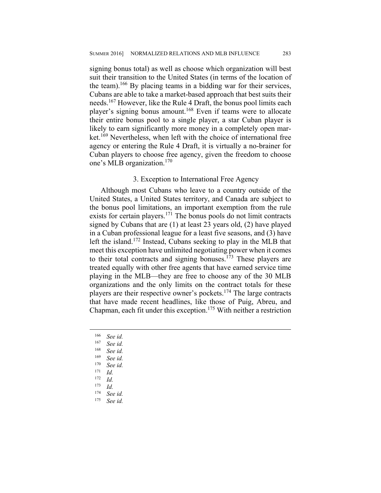signing bonus total) as well as choose which organization will best suit their transition to the United States (in terms of the location of the team).<sup>166</sup> By placing teams in a bidding war for their services, Cubans are able to take a market-based approach that best suits their needs.167 However, like the Rule 4 Draft, the bonus pool limits each player's signing bonus amount.<sup>168</sup> Even if teams were to allocate their entire bonus pool to a single player, a star Cuban player is likely to earn significantly more money in a completely open market.<sup>169</sup> Nevertheless, when left with the choice of international free agency or entering the Rule 4 Draft, it is virtually a no-brainer for Cuban players to choose free agency, given the freedom to choose one's MLB organization.<sup>170</sup>

# 3. Exception to International Free Agency

Although most Cubans who leave to a country outside of the United States, a United States territory, and Canada are subject to the bonus pool limitations, an important exemption from the rule exists for certain players. $171$  The bonus pools do not limit contracts signed by Cubans that are (1) at least 23 years old, (2) have played in a Cuban professional league for a least five seasons, and (3) have left the island.<sup>172</sup> Instead, Cubans seeking to play in the MLB that meet this exception have unlimited negotiating power when it comes to their total contracts and signing bonuses.<sup>173</sup> These players are treated equally with other free agents that have earned service time playing in the MLB—they are free to choose any of the 30 MLB organizations and the only limits on the contract totals for these players are their respective owner's pockets.<sup>174</sup> The large contracts that have made recent headlines, like those of Puig, Abreu, and Chapman, each fit under this exception.175 With neither a restriction

- <sup>166</sup> *See id.*
- See id.

- <sup>168</sup> *See id.*
- <sup>169</sup> *See id.*
- <sup>170</sup> *See id.*
- <sup>171</sup> *Id.*
- $\frac{172}{173}$  *Id.*
- 
- $\frac{173}{174}$  *Id.*
- <sup>174</sup> *See id.* See id.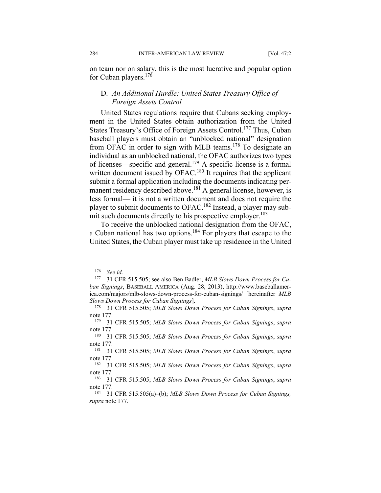on team nor on salary, this is the most lucrative and popular option for Cuban players.176

# D. *An Additional Hurdle: United States Treasury Office of Foreign Assets Control*

United States regulations require that Cubans seeking employment in the United States obtain authorization from the United States Treasury's Office of Foreign Assets Control.<sup>177</sup> Thus, Cuban baseball players must obtain an "unblocked national" designation from OFAC in order to sign with MLB teams.<sup>178</sup> To designate an individual as an unblocked national, the OFAC authorizes two types of licenses—specific and general.<sup>179</sup> A specific license is a formal written document issued by OFAC.<sup>180</sup> It requires that the applicant submit a formal application including the documents indicating permanent residency described above.<sup>181</sup> A general license, however, is less formal— it is not a written document and does not require the player to submit documents to OFAC.182 Instead, a player may submit such documents directly to his prospective employer.<sup>183</sup>

To receive the unblocked national designation from the OFAC, a Cuban national has two options.184 For players that escape to the United States, the Cuban player must take up residence in the United

<u>.</u>

<sup>&</sup>lt;sup>176</sup> *See id.*<br><sup>177</sup> 31 CFI

<sup>31</sup> CFR 515.505; see also Ben Badler, *MLB Slows Down Process for Cuban Signings*, BASEBALL AMERICA (Aug. 28, 2013), http://www.baseballamerica.com/majors/mlb-slows-down-process-for-cuban-signings/ [hereinafter *MLB Slows Down Process for Cuban Signings*].

<sup>178 31</sup> CFR 515.505; *MLB Slows Down Process for Cuban Signings*, *supra*  note 177.

<sup>179 31</sup> CFR 515.505; *MLB Slows Down Process for Cuban Signings*, *supra*  note 177.

<sup>180 31</sup> CFR 515.505; *MLB Slows Down Process for Cuban Signings*, *supra*  note 177.<br> $\frac{181}{31}$ 

<sup>181 31</sup> CFR 515.505; *MLB Slows Down Process for Cuban Signings*, *supra*  note 177.

<sup>182 31</sup> CFR 515.505; *MLB Slows Down Process for Cuban Signings*, *supra*  note 177.

<sup>183 31</sup> CFR 515.505; *MLB Slows Down Process for Cuban Signings*, *supra*  note 177.

<sup>184 31</sup> CFR 515.505(a)–(b); *MLB Slows Down Process for Cuban Signings, supra* note 177.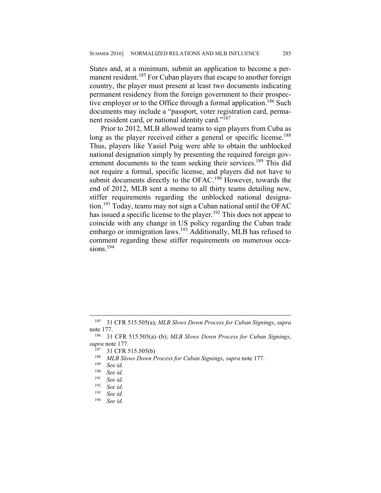States and, at a minimum, submit an application to become a permanent resident.<sup>185</sup> For Cuban players that escape to another foreign country, the player must present at least two documents indicating permanent residency from the foreign government to their prospective employer or to the Office through a formal application.<sup>186</sup> Such documents may include a "passport, voter registration card, permanent resident card, or national identity card."<sup>187</sup>

Prior to 2012, MLB allowed teams to sign players from Cuba as long as the player received either a general or specific license.<sup>188</sup> Thus, players like Yasiel Puig were able to obtain the unblocked national designation simply by presenting the required foreign government documents to the team seeking their services.<sup>189</sup> This did not require a formal, specific license, and players did not have to submit documents directly to the OFAC.<sup>190</sup> However, towards the end of 2012, MLB sent a memo to all thirty teams detailing new, stiffer requirements regarding the unblocked national designation.191 Today, teams may not sign a Cuban national until the OFAC has issued a specific license to the player.<sup>192</sup> This does not appear to coincide with any change in US policy regarding the Cuban trade embargo or immigration laws.193 Additionally, MLB has refused to comment regarding these stiffer requirements on numerous occasions $194$ 

 $\overline{a}$ 

See id.

<sup>185 31</sup> CFR 515.505(a); *MLB Slows Down Process for Cuban Signings*, *supra*  note 177.

<sup>186 31</sup> CFR 515.505(a)–(b); *MLB Slows Down Process for Cuban Signings*, *supra* note 177.<br><sup>187</sup> 31 CER <sup>4</sup>

 $^{187}$  31 CFR 515.505(b)<br> $^{188}$  MLP Slows Down E

<sup>188</sup> *MLB Slows Down Process for Cuban Signings*, *supra* note 177.

See *id.* 

<sup>190</sup> *See id.*

<sup>191</sup> *See id.*

<sup>192</sup> *See id.*

<sup>193</sup> *See id.*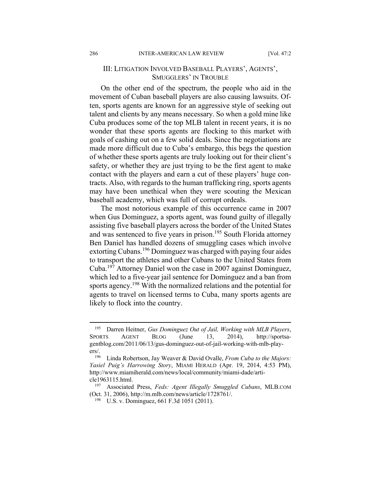# III: LITIGATION INVOLVED BASEBALL PLAYERS', AGENTS', SMUGGLERS' IN TROUBLE

On the other end of the spectrum, the people who aid in the movement of Cuban baseball players are also causing lawsuits. Often, sports agents are known for an aggressive style of seeking out talent and clients by any means necessary. So when a gold mine like Cuba produces some of the top MLB talent in recent years, it is no wonder that these sports agents are flocking to this market with goals of cashing out on a few solid deals. Since the negotiations are made more difficult due to Cuba's embargo, this begs the question of whether these sports agents are truly looking out for their client's safety, or whether they are just trying to be the first agent to make contact with the players and earn a cut of these players' huge contracts. Also, with regards to the human trafficking ring, sports agents may have been unethical when they were scouting the Mexican baseball academy, which was full of corrupt ordeals.

The most notorious example of this occurrence came in 2007 when Gus Dominguez, a sports agent, was found guilty of illegally assisting five baseball players across the border of the United States and was sentenced to five years in prison.<sup>195</sup> South Florida attorney Ben Daniel has handled dozens of smuggling cases which involve extorting Cubans.196 Dominguez was charged with paying four aides to transport the athletes and other Cubans to the United States from Cuba.197 Attorney Daniel won the case in 2007 against Dominguez, which led to a five-year jail sentence for Dominguez and a ban from sports agency.<sup>198</sup> With the normalized relations and the potential for agents to travel on licensed terms to Cuba, many sports agents are likely to flock into the country.

<sup>195</sup> Darren Heitner, *Gus Dominguez Out of Jail, Working with MLB Players*, SPORTS AGENT BLOG (June 13, 2014), http://sportsagentblog.com/2011/06/13/gus-dominguez-out-of-jail-working-with-mlb-players/.<br> $\frac{196}{196}$ 

<sup>196</sup> Linda Robertson, Jay Weaver & David Ovalle, *From Cuba to the Majors: Yasiel Puig's Harrowing Story*, MIAMI HERALD (Apr. 19, 2014, 4:53 PM), http://www.miamiherald.com/news/local/community/miami-dade/article1963115.html.

<sup>197</sup> Associated Press, *Feds: Agent Illegally Smuggled Cubans*, MLB.COM (Oct. 31, 2006), http://m.mlb.com/news/article/1728761/.

<sup>198</sup> U.S. v. Dominguez, 661 F.3d 1051 (2011).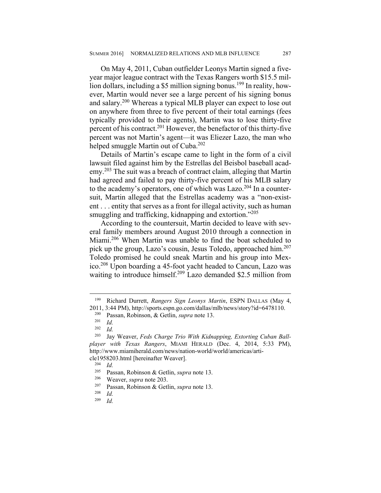On May 4, 2011, Cuban outfielder Leonys Martin signed a fiveyear major league contract with the Texas Rangers worth \$15.5 million dollars, including a \$5 million signing bonus.<sup>199</sup> In reality, however, Martin would never see a large percent of his signing bonus and salary.200 Whereas a typical MLB player can expect to lose out on anywhere from three to five percent of their total earnings (fees typically provided to their agents), Martin was to lose thirty-five percent of his contract.201 However, the benefactor of this thirty-five percent was not Martin's agent—it was Eliezer Lazo, the man who helped smuggle Martin out of Cuba.<sup>202</sup>

Details of Martin's escape came to light in the form of a civil lawsuit filed against him by the Estrellas del Beisbol baseball academy.<sup>203</sup> The suit was a breach of contract claim, alleging that Martin had agreed and failed to pay thirty-five percent of his MLB salary to the academy's operators, one of which was Lazo.<sup>204</sup> In a countersuit, Martin alleged that the Estrellas academy was a "non-existent . . . entity that serves as a front for illegal activity, such as human smuggling and trafficking, kidnapping and extortion."<sup>205</sup>

According to the countersuit, Martin decided to leave with several family members around August 2010 through a connection in Miami.206 When Martin was unable to find the boat scheduled to pick up the group, Lazo's cousin, Jesus Toledo, approached him.<sup>207</sup> Toledo promised he could sneak Martin and his group into Mexico.208 Upon boarding a 45-foot yacht headed to Cancun, Lazo was waiting to introduce himself.<sup>209</sup> Lazo demanded \$2.5 million from

 $\overline{a}$ 

<sup>204</sup> *Id.*

<sup>199</sup> Richard Durrett, *Rangers Sign Leonys Martin*, ESPN DALLAS (May 4, 2011, 3:44 PM), http://sports.espn.go.com/dallas/mlb/news/story?id=6478110.<br><sup>200</sup> Pesson, Bobinson, & Gotlin, sung pote 13.

<sup>200</sup> Passan, Robinson, & Getlin, *supra* note 13.

 $\frac{201}{202}$  *Id.* 

 $\frac{202}{203}$  *Id.* 

Jay Weaver, Feds Charge Trio With Kidnapping, Extorting Cuban Ball*player with Texas Rangers*, MIAMI HERALD (Dec. 4, 2014, 5:33 PM), http://www.miamiherald.com/news/nation-world/world/americas/article1958203.html [hereinafter Weaver].

<sup>205</sup> Passan, Robinson & Getlin, *supra* note 13.

<sup>&</sup>lt;sup>206</sup> Weaver, *supra* note 203.

<sup>207</sup> Passan, Robinson & Getlin, *supra* note 13.

 $\frac{208}{209}$  *Id.* 

*Id.*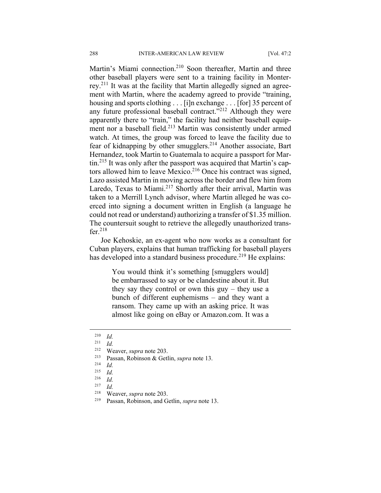Martin's Miami connection.<sup>210</sup> Soon thereafter, Martin and three other baseball players were sent to a training facility in Monterrey.211 It was at the facility that Martin allegedly signed an agreement with Martin, where the academy agreed to provide "training, housing and sports clothing . . . [i]n exchange . . . [for] 35 percent of any future professional baseball contract."212 Although they were apparently there to "train," the facility had neither baseball equipment nor a baseball field.<sup>213</sup> Martin was consistently under armed watch. At times, the group was forced to leave the facility due to fear of kidnapping by other smugglers.214 Another associate, Bart Hernandez, took Martin to Guatemala to acquire a passport for Martin.215 It was only after the passport was acquired that Martin's captors allowed him to leave Mexico.<sup>216</sup> Once his contract was signed, Lazo assisted Martin in moving across the border and flew him from Laredo, Texas to Miami.<sup>217</sup> Shortly after their arrival, Martin was taken to a Merrill Lynch advisor, where Martin alleged he was coerced into signing a document written in English (a language he could not read or understand) authorizing a transfer of \$1.35 million. The countersuit sought to retrieve the allegedly unauthorized transfer. $218$ 

Joe Kehoskie, an ex-agent who now works as a consultant for Cuban players, explains that human trafficking for baseball players has developed into a standard business procedure.<sup>219</sup> He explains:

> You would think it's something [smugglers would] be embarrassed to say or be clandestine about it. But they say they control or own this guy – they use a bunch of different euphemisms – and they want a ransom. They came up with an asking price. It was almost like going on eBay or Amazon.com. It was a

 $\overline{a}$ 

213 Passan, Robinson & Getlin, *supra* note 13. 214 *Id.*

 $\frac{210}{211}$  *Id.* 

<sup>211</sup> *Id.*

<sup>&</sup>lt;sup>212</sup> Weaver, *supra* note 203.<br><sup>213</sup> Passan Robinson & Get

<sup>215</sup> *Id.*

 $\frac{216}{217}$  *Id.* 

 $\frac{217}{218}$  *Id.* 

<sup>&</sup>lt;sup>218</sup> Weaver, *supra* note 203.<br><sup>219</sup> Passan Robinson and G

Passan, Robinson, and Getlin, *supra* note 13.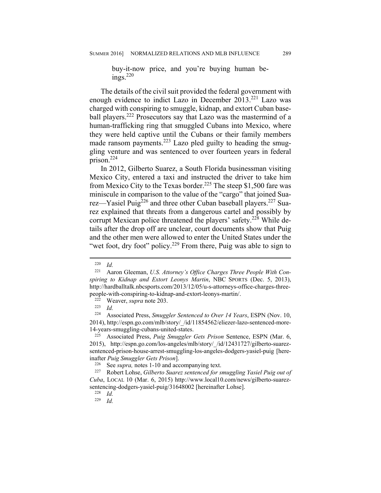buy-it-now price, and you're buying human beings $220$ 

The details of the civil suit provided the federal government with enough evidence to indict Lazo in December 2013.<sup>221</sup> Lazo was charged with conspiring to smuggle, kidnap, and extort Cuban baseball players.<sup>222</sup> Prosecutors say that Lazo was the mastermind of a human-trafficking ring that smuggled Cubans into Mexico, where they were held captive until the Cubans or their family members made ransom payments.<sup>223</sup> Lazo pled guilty to heading the smuggling venture and was sentenced to over fourteen years in federal prison.224

In 2012, Gilberto Suarez, a South Florida businessman visiting Mexico City, entered a taxi and instructed the driver to take him from Mexico City to the Texas border.<sup>225</sup> The steep \$1,500 fare was miniscule in comparison to the value of the "cargo" that joined Suarez—Yasiel Puig<sup>226</sup> and three other Cuban baseball players.<sup>227</sup> Suarez explained that threats from a dangerous cartel and possibly by corrupt Mexican police threatened the players' safety.<sup>228</sup> While details after the drop off are unclear, court documents show that Puig and the other men were allowed to enter the United States under the "wet foot, dry foot" policy.<sup>229</sup> From there, Puig was able to sign to

-

 $\frac{220}{221}$  *Id.* 

Aaron Gleeman, *U.S. Attorney's Office Charges Three People With Conspiring to Kidnap and Extort Leonys Martin*, NBC SPORTS (Dec. 5, 2013), http://hardballtalk.nbcsports.com/2013/12/05/u-s-attorneys-office-charges-threepeople-with-conspiring-to-kidnap-and-extort-leonys-martin/. 222 Weaver, *supra* note 203.

 $\frac{223}{224}$  *Id.* 

<sup>224</sup> Associated Press, *Smuggler Sentenced to Over 14 Years*, ESPN (Nov. 10, 2014), http://espn.go.com/mlb/story/\_/id/11854562/eliezer-lazo-sentenced-more-14-years-smuggling-cubans-united-states.

<sup>225</sup> Associated Press, *Puig Smuggler Gets Prison* Sentence, ESPN (Mar. 6, 2015), http://espn.go.com/los-angeles/mlb/story/\_/id/12431727/gilberto-suarezsentenced-prison-house-arrest-smuggling-los-angeles-dodgers-yasiel-puig [hereinafter *Puig Smuggler Gets Prison*].

<sup>&</sup>lt;sup>226</sup> See *supra*, notes 1-10 and accompanying text.<br><sup>227</sup> Robert Lobse *Gilberto Sugrez sentenced for s* 

<sup>227</sup> Robert Lohse, *Gilberto Suarez sentenced for smuggling Yasiel Puig out of Cuba*, LOCAL 10 (Mar. 6, 2015) http://www.local10.com/news/gilberto-suarezsentencing-dodgers-yasiel-puig/31648002 [hereinafter Lohse].

 $\frac{228}{229}$  *Id.* 

<sup>229</sup> *Id.*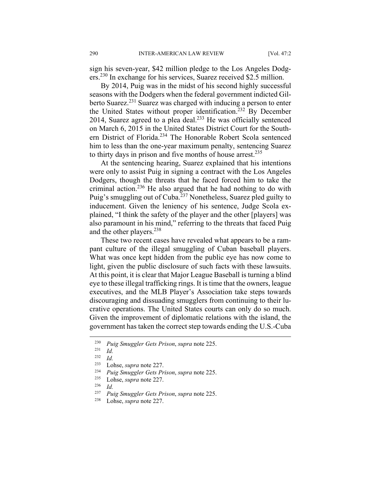sign his seven-year, \$42 million pledge to the Los Angeles Dodgers.230 In exchange for his services, Suarez received \$2.5 million.

By 2014, Puig was in the midst of his second highly successful seasons with the Dodgers when the federal government indicted Gilberto Suarez.<sup>231</sup> Suarez was charged with inducing a person to enter the United States without proper identification.<sup>232</sup> By December 2014, Suarez agreed to a plea deal. $^{233}$  He was officially sentenced on March 6, 2015 in the United States District Court for the Southern District of Florida.<sup>234</sup> The Honorable Robert Scola sentenced him to less than the one-year maximum penalty, sentencing Suarez to thirty days in prison and five months of house arrest.<sup>235</sup>

At the sentencing hearing, Suarez explained that his intentions were only to assist Puig in signing a contract with the Los Angeles Dodgers, though the threats that he faced forced him to take the criminal action.236 He also argued that he had nothing to do with Puig's smuggling out of Cuba.<sup>237</sup> Nonetheless, Suarez pled guilty to inducement. Given the leniency of his sentence, Judge Scola explained, "I think the safety of the player and the other [players] was also paramount in his mind," referring to the threats that faced Puig and the other players.<sup>238</sup>

These two recent cases have revealed what appears to be a rampant culture of the illegal smuggling of Cuban baseball players. What was once kept hidden from the public eye has now come to light, given the public disclosure of such facts with these lawsuits. At this point, it is clear that Major League Baseball is turning a blind eye to these illegal trafficking rings. It is time that the owners, league executives, and the MLB Player's Association take steps towards discouraging and dissuading smugglers from continuing to their lucrative operations. The United States courts can only do so much. Given the improvement of diplomatic relations with the island, the government has taken the correct step towards ending the U.S.-Cuba

<u>.</u>

<sup>230</sup> *Puig Smuggler Gets Prison*, *supra* note 225.

 $\frac{231}{232}$  *Id.* 

 $\frac{232}{233}$  *Id.* 

<sup>&</sup>lt;sup>233</sup> Lohse, *supra* note 227.<br><sup>234</sup> Puig Smuggler Gets Pr

<sup>234</sup> *Puig Smuggler Gets Prison*, *supra* note 225.

 $\frac{235}{236}$  Lohse, *supra* note 227.

 $\frac{236}{237}$  *Id.* 

<sup>237</sup> *Puig Smuggler Gets Prison*, *supra* note 225.

Lohse, *supra* note 227.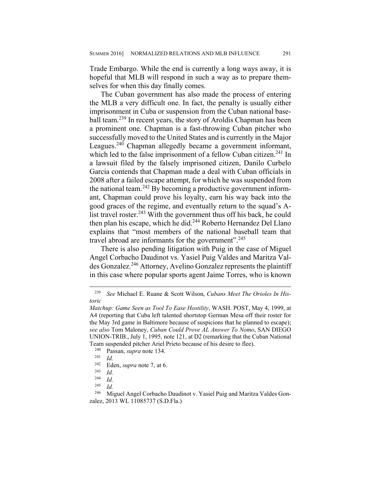Trade Embargo. While the end is currently a long ways away, it is hopeful that MLB will respond in such a way as to prepare themselves for when this day finally comes.

The Cuban government has also made the process of entering the MLB a very difficult one. In fact, the penalty is usually either imprisonment in Cuba or suspension from the Cuban national baseball team.239 In recent years, the story of Aroldis Chapman has been a prominent one. Chapman is a fast-throwing Cuban pitcher who successfully moved to the United States and is currently in the Major Leagues.<sup>240</sup> Chapman allegedly became a government informant, which led to the false imprisonment of a fellow Cuban citizen.<sup>241</sup> In a lawsuit filed by the falsely imprisoned citizen, Danilo Curbelo Garcia contends that Chapman made a deal with Cuban officials in 2008 after a failed escape attempt, for which he was suspended from the national team.<sup>242</sup> By becoming a productive government informant, Chapman could prove his loyalty, earn his way back into the good graces of the regime, and eventually return to the squad's Alist travel roster.<sup>243</sup> With the government thus off his back, he could then plan his escape, which he did.244 Roberto Hernandez Del Llano explains that "most members of the national baseball team that travel abroad are informants for the government".<sup>245</sup>

There is also pending litigation with Puig in the case of Miguel Angel Corbacho Daudinot vs. Yasiel Puig Valdes and Maritza Valdes Gonzalez.246 Attorney, Avelino Gonzalez represents the plaintiff in this case where popular sports agent Jaime Torres, who is known

<sup>239</sup> *See* Michael E. Ruane & Scott Wilson, *Cubans Meet The Orioles In Historic* 

*Matchup: Game Seen as Tool To Ease Hostility*, WASH. POST, May 4, 1999, at A4 (reporting that Cuba left talented shortstop German Mesa off their roster for the May 3rd game in Baltimore because of suspicions that he planned to escape); *see also* Tom Maloney, *Cuban Could Prove AL Answer To Nomo*, SAN DIEGO UNION-TRIB., July 1, 1995*,* note 121, at D2 (remarking that the Cuban National Team suspended pitcher Ariel Prieto because of his desire to flee).<br><sup>240</sup> Passan, sunga pote 134

<sup>240</sup> Passan, *supra* note 134. 241 *Id.* 

 $\frac{242}{243}$  Eden, *supra* note 7, at 6.

 $\frac{243}{244}$  *Id.* 

 $\frac{244}{245}$  *Id.* 

<sup>245</sup> *Id.* 

Miguel Angel Corbacho Daudinot v. Yasiel Puig and Maritza Valdes Gonzalez, 2013 WL 11085737 (S.D.Fla.)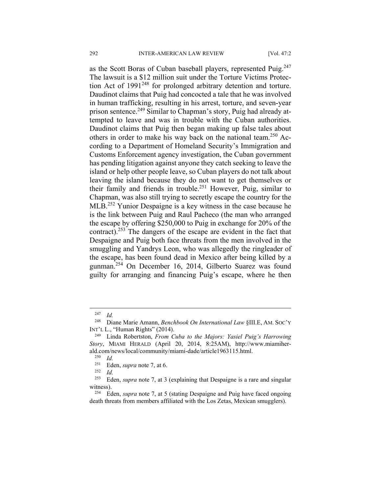as the Scott Boras of Cuban baseball players, represented Puig.<sup>247</sup> The lawsuit is a \$12 million suit under the Torture Victims Protection Act of 1991<sup>248</sup> for prolonged arbitrary detention and torture. Daudinot claims that Puig had concocted a tale that he was involved in human trafficking, resulting in his arrest, torture, and seven-year prison sentence.<sup>249</sup> Similar to Chapman's story, Puig had already attempted to leave and was in trouble with the Cuban authorities. Daudinot claims that Puig then began making up false tales about others in order to make his way back on the national team.<sup>250</sup> According to a Department of Homeland Security's Immigration and Customs Enforcement agency investigation, the Cuban government has pending litigation against anyone they catch seeking to leave the island or help other people leave, so Cuban players do not talk about leaving the island because they do not want to get themselves or their family and friends in trouble.251 However, Puig, similar to Chapman, was also still trying to secretly escape the country for the MLB<sup>252</sup> Yunior Despaigne is a key witness in the case because he is the link between Puig and Raul Pacheco (the man who arranged the escape by offering \$250,000 to Puig in exchange for 20% of the contract).253 The dangers of the escape are evident in the fact that Despaigne and Puig both face threats from the men involved in the smuggling and Yandrys Leon, who was allegedly the ringleader of the escape, has been found dead in Mexico after being killed by a gunman.254 On December 16, 2014, Gilberto Suarez was found guilty for arranging and financing Puig's escape, where he then

 $\frac{247}{248}$  *Id.* 

<sup>248</sup> Diane Marie Amann, *Benchbook On International Law* §III.E, AM. SOC'Y INT'L L., "Human Rights" (2014).

<sup>249</sup> Linda Robertston, *From Cuba to the Majors: Yasiel Puig's Harrowing Story*, MIAMI HERALD (April 20, 2014, 8:25AM), http://www.miamiherald.com/news/local/community/miami-dade/article1963115.html.<br> $^{250}$  Id

 $\frac{250}{251}$  *Id.* 

 $\frac{251}{252}$  Eden, *supra* note 7, at 6.

*Id.* 

<sup>253</sup> Eden, *supra* note 7, at 3 (explaining that Despaigne is a rare and singular witness).

<sup>254</sup> Eden, *supra* note 7, at 5 (stating Despaigne and Puig have faced ongoing death threats from members affiliated with the Los Zetas, Mexican smugglers).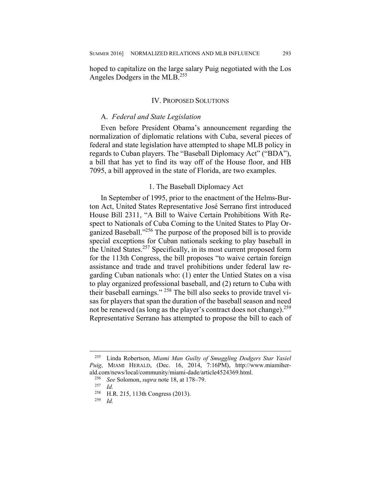hoped to capitalize on the large salary Puig negotiated with the Los Angeles Dodgers in the MLB.<sup>255</sup>

#### IV. PROPOSED SOLUTIONS

#### A. *Federal and State Legislation*

Even before President Obama's announcement regarding the normalization of diplomatic relations with Cuba, several pieces of federal and state legislation have attempted to shape MLB policy in regards to Cuban players. The "Baseball Diplomacy Act" ("BDA"), a bill that has yet to find its way off of the House floor, and HB 7095, a bill approved in the state of Florida, are two examples.

#### 1. The Baseball Diplomacy Act

In September of 1995, prior to the enactment of the Helms-Burton Act, United States Representative José Serrano first introduced House Bill 2311, "A Bill to Waive Certain Prohibitions With Respect to Nationals of Cuba Coming to the United States to Play Organized Baseball."256 The purpose of the proposed bill is to provide special exceptions for Cuban nationals seeking to play baseball in the United States.<sup>257</sup> Specifically, in its most current proposed form for the 113th Congress, the bill proposes "to waive certain foreign assistance and trade and travel prohibitions under federal law regarding Cuban nationals who: (1) enter the Untied States on a visa to play organized professional baseball, and (2) return to Cuba with their baseball earnings." 258 The bill also seeks to provide travel visas for players that span the duration of the baseball season and need not be renewed (as long as the player's contract does not change).<sup>259</sup> Representative Serrano has attempted to propose the bill to each of

<sup>255</sup> Linda Robertson, *Miami Man Guilty of Smuggling Dodgers Star Yasiel Puig*, MIAMI HERALD, (Dec. 16, 2014, 7:16PM), http://www.miamiherald.com/news/local/community/miami-dade/article4524369.html.<br> $^{256}$  See Solomon, sung note 18, at 178, 79

<sup>&</sup>lt;sup>256</sup> *See* Solomon, *supra* note 18, at 178–79.

 $rac{257}{258}$  *Id.* 

<sup>&</sup>lt;sup>258</sup> H.R. 215, 113th Congress (2013).

<sup>259</sup> *Id.*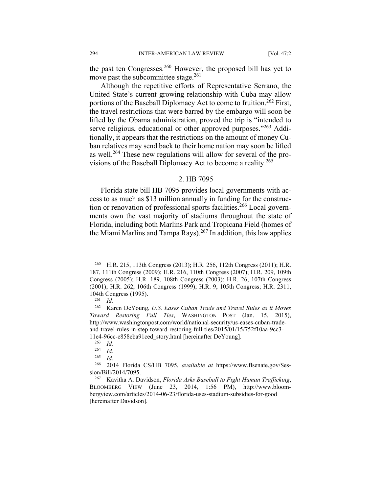the past ten Congresses.<sup>260</sup> However, the proposed bill has yet to move past the subcommittee stage.<sup>261</sup>

Although the repetitive efforts of Representative Serrano, the United State's current growing relationship with Cuba may allow portions of the Baseball Diplomacy Act to come to fruition.<sup>262</sup> First, the travel restrictions that were barred by the embargo will soon be lifted by the Obama administration, proved the trip is "intended to serve religious, educational or other approved purposes."<sup>263</sup> Additionally, it appears that the restrictions on the amount of money Cuban relatives may send back to their home nation may soon be lifted as well.264 These new regulations will allow for several of the provisions of the Baseball Diplomacy Act to become a reality.<sup>265</sup>

#### 2. HB 7095

Florida state bill HB 7095 provides local governments with access to as much as \$13 million annually in funding for the construction or renovation of professional sports facilities.<sup>266</sup> Local governments own the vast majority of stadiums throughout the state of Florida, including both Marlins Park and Tropicana Field (homes of the Miami Marlins and Tampa Rays).<sup>267</sup> In addition, this law applies

<sup>260</sup> H.R. 215, 113th Congress (2013); H.R. 256, 112th Congress (2011); H.R. 187, 111th Congress (2009); H.R. 216, 110th Congress (2007); H.R. 209, 109th Congress (2005); H.R. 189, 108th Congress (2003); H.R. 26, 107th Congress (2001); H.R. 262, 106th Congress (1999); H.R. 9, 105th Congress; H.R. 2311, 104th Congress (1995).<br> $^{261}$  *Id* 

<sup>261</sup> *Id.*

<sup>262</sup> Karen DeYoung, *U.S. Eases Cuban Trade and Travel Rules as it Moves Toward Restoring Full Ties*, WASHINGTON POST (Jan. 15, 2015), http://www.washingtonpost.com/world/national-security/us-eases-cuban-tradeand-travel-rules-in-step-toward-restoring-full-ties/2015/01/15/752f10aa-9cc3- 11e4-96cc-e858eba91ced\_story.html [hereinafter DeYoung].

 $\frac{263}{264}$  *Id.* 

 $\frac{264}{265}$  *Id.* 

<sup>265</sup> *Id.*

<sup>266 2014</sup> Florida CS/HB 7095, *available at* https://www.flsenate.gov/Session/Bill/2014/7095.

<sup>267</sup> Kavitha A. Davidson, *Florida Asks Baseball to Fight Human Trafficking*, BLOOMBERG VIEW (June 23, 2014, 1:56 PM), http://www.bloombergview.com/articles/2014-06-23/florida-uses-stadium-subsidies-for-good [hereinafter Davidson].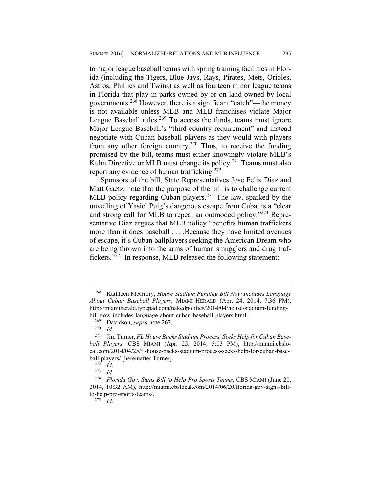to major league baseball teams with spring training facilities in Florida (including the Tigers, Blue Jays, Rays, Pirates, Mets, Orioles, Astros, Phillies and Twins) as well as fourteen minor league teams in Florida that play in parks owned by or on land owned by local governments.268 However, there is a significant "catch"—the money is not available unless MLB and MLB franchises violate Major League Baseball rules.<sup>269</sup> To access the funds, teams must ignore Major League Baseball's "third-country requirement" and instead negotiate with Cuban baseball players as they would with players from any other foreign country.<sup>270</sup> Thus, to receive the funding promised by the bill, teams must either knowingly violate MLB's Kuhn Directive or MLB must change its policy.<sup>271</sup> Teams must also report any evidence of human trafficking.<sup>272</sup>

Sponsors of the bill, State Representatives Jose Felix Diaz and Matt Gaetz, note that the purpose of the bill is to challenge current MLB policy regarding Cuban players.<sup>273</sup> The law, sparked by the unveiling of Yasiel Puig's dangerous escape from Cuba, is a "clear and strong call for MLB to repeal an outmoded policy."274 Representative Diaz argues that MLB policy "benefits human traffickers more than it does baseball . . . .Because they have limited avenues of escape, it's Cuban ballplayers seeking the American Dream who are being thrown into the arms of human smugglers and drug traffickers."275 In response, MLB released the following statement:

 $\overline{a}$ 

275 *Id.*

<sup>268</sup> Kathleen McGrory, *House Stadium Funding Bill Now Includes Language About Cuban Baseball Players*, MIAMI HERALD (Apr. 24, 2014, 7:36 PM), http://miamiherald.typepad.com/nakedpolitics/2014/04/house-stadium-fundingbill-now-includes-language-about-cuban-baseball-players.html.<br><sup>269</sup> Davidson, sunus nota 267

<sup>&</sup>lt;sup>269</sup> Davidson, *supra* note 267.<br><sup>270</sup> *Id* 

 $\frac{270}{271}$  *Id.* 

Jim Turner, *FL House Backs Stadium Process, Seeks Help for Cuban Baseball Players*, CBS MIAMI (Apr. 25, 2014, 5:03 PM), http://miami.cbslocal.com/2014/04/25/fl-house-backs-stadium-process-seeks-help-for-cuban-baseball-players/ [hereinafter Turner].

 $rac{272}{273}$  *Id.* 

<sup>273</sup> *Id.*

<sup>274</sup> *Florida Gov. Signs Bill to Help Pro Sports Teams*, CBS MIAMI (June 20, 2014, 10:32 AM), http://miami.cbslocal.com/2014/06/20/florida-gov-signs-billto-help-pro-sports-teams/.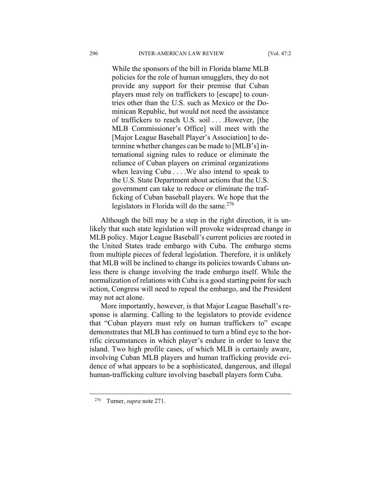While the sponsors of the bill in Florida blame MLB policies for the role of human smugglers, they do not provide any support for their premise that Cuban players must rely on traffickers to [escape] to countries other than the U.S. such as Mexico or the Dominican Republic, but would not need the assistance of traffickers to reach U.S. soil . . . .However, [the MLB Commissioner's Office] will meet with the [Major League Baseball Player's Association] to determine whether changes can be made to [MLB's] international signing rules to reduce or eliminate the reliance of Cuban players on criminal organizations when leaving Cuba . . . .We also intend to speak to the U.S. State Department about actions that the U.S. government can take to reduce or eliminate the trafficking of Cuban baseball players. We hope that the legislators in Florida will do the same.<sup>276</sup>

Although the bill may be a step in the right direction, it is unlikely that such state legislation will provoke widespread change in MLB policy. Major League Baseball's current policies are rooted in the United States trade embargo with Cuba. The embargo stems from multiple pieces of federal legislation. Therefore, it is unlikely that MLB will be inclined to change its policies towards Cubans unless there is change involving the trade embargo itself. While the normalization of relations with Cuba is a good starting point for such action, Congress will need to repeal the embargo, and the President may not act alone.

More importantly, however, is that Major League Baseball's response is alarming. Calling to the legislators to provide evidence that "Cuban players must rely on human traffickers to" escape demonstrates that MLB has continued to turn a blind eye to the horrific circumstances in which player's endure in order to leave the island. Two high profile cases, of which MLB is certainly aware, involving Cuban MLB players and human trafficking provide evidence of what appears to be a sophisticated, dangerous, and illegal human-trafficking culture involving baseball players form Cuba.

<sup>276</sup> Turner, *supra* note 271.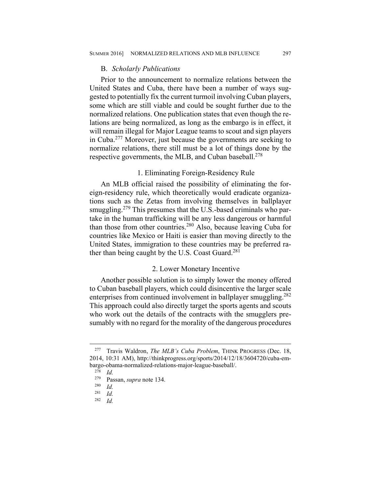#### B. *Scholarly Publications*

Prior to the announcement to normalize relations between the United States and Cuba, there have been a number of ways suggested to potentially fix the current turmoil involving Cuban players, some which are still viable and could be sought further due to the normalized relations. One publication states that even though the relations are being normalized, as long as the embargo is in effect, it will remain illegal for Major League teams to scout and sign players in Cuba.277 Moreover, just because the governments are seeking to normalize relations, there still must be a lot of things done by the respective governments, the MLB, and Cuban baseball.<sup>278</sup>

# 1. Eliminating Foreign-Residency Rule

An MLB official raised the possibility of eliminating the foreign-residency rule, which theoretically would eradicate organizations such as the Zetas from involving themselves in ballplayer smuggling.<sup>279</sup> This presumes that the U.S.-based criminals who partake in the human trafficking will be any less dangerous or harmful than those from other countries.280 Also, because leaving Cuba for countries like Mexico or Haiti is easier than moving directly to the United States, immigration to these countries may be preferred rather than being caught by the U.S. Coast Guard. $^{281}$ 

# 2. Lower Monetary Incentive

Another possible solution is to simply lower the money offered to Cuban baseball players, which could disincentive the larger scale enterprises from continued involvement in ballplayer smuggling.<sup>282</sup> This approach could also directly target the sports agents and scouts who work out the details of the contracts with the smugglers presumably with no regard for the morality of the dangerous procedures

<sup>277</sup> Travis Waldron, *The MLB's Cuba Problem*, THINK PROGRESS (Dec. 18, 2014, 10:31 AM), http://thinkprogress.org/sports/2014/12/18/3604720/cuba-embargo-obama-normalized-relations-major-league-baseball/.<br><sup>278</sup> Id

 $\frac{278}{279}$  *Id.* 

<sup>279</sup> Passan, *supra* note 134.

 $\frac{280}{281}$  *Id.* 

 $\frac{281}{282}$  *Id.* 

*Id.*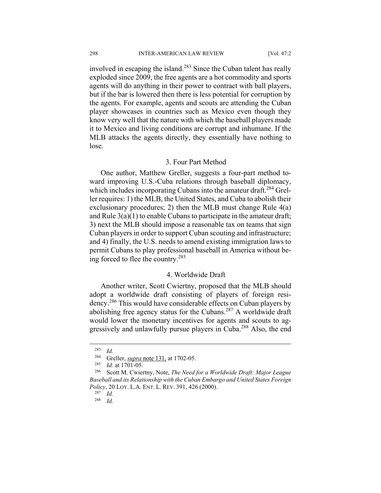involved in escaping the island.<sup>283</sup> Since the Cuban talent has really exploded since 2009, the free agents are a hot commodity and sports agents will do anything in their power to contract with ball players, but if the bar is lowered then there is less potential for corruption by the agents. For example, agents and scouts are attending the Cuban player showcases in countries such as Mexico even though they know very well that the nature with which the baseball players made it to Mexico and living conditions are corrupt and inhumane. If the MLB attacks the agents directly, they essentially have nothing to lose.

### 3. Four Part Method

One author, Matthew Greller, suggests a four-part method toward improving U.S.-Cuba relations through baseball diplomacy, which includes incorporating Cubans into the amateur draft.<sup>284</sup> Greller requires: 1) the MLB, the United States, and Cuba to abolish their exclusionary procedures; 2) then the MLB must change Rule 4(a) and Rule  $3(a)(1)$  to enable Cubans to participate in the amateur draft; 3) next the MLB should impose a reasonable tax on teams that sign Cuban players in order to support Cuban scouting and infrastructure; and 4) finally, the U.S. needs to amend existing immigration laws to permit Cubans to play professional baseball in America without being forced to flee the country.285

# 4. Worldwide Draft

Another writer, Scott Cwiertny, proposed that the MLB should adopt a worldwide draft consisting of players of foreign residency.286 This would have considerable effects on Cuban players by abolishing free agency status for the Cubans.287 A worldwide draft would lower the monetary incentives for agents and scouts to aggressively and unlawfully pursue players in Cuba.288 Also, the end

<sup>283</sup> *Id.* 

<sup>&</sup>lt;sup>284</sup> Greller, *supra* note 131, at 1702-05.

<sup>&</sup>lt;sup>285</sup> *Id.* at 1701-05.<br><sup>286</sup> Scott M. Cwie

<sup>286</sup> Scott M. Cwiertny, Note, *The Need for a Worldwide Draft: Major League Baseball and its Relationship with the Cuban Embargo and United States Foreign Policy*, 20 LOY. L.A. ENT. L. REV. 391, 426 (2000).

 $rac{287}{288}$  *Id.* 

*Id.*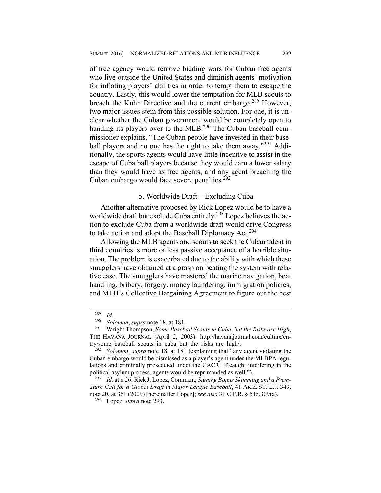of free agency would remove bidding wars for Cuban free agents who live outside the United States and diminish agents' motivation for inflating players' abilities in order to tempt them to escape the country. Lastly, this would lower the temptation for MLB scouts to breach the Kuhn Directive and the current embargo.<sup>289</sup> However, two major issues stem from this possible solution. For one, it is unclear whether the Cuban government would be completely open to handing its players over to the MLB.<sup>290</sup> The Cuban baseball commissioner explains, "The Cuban people have invested in their baseball players and no one has the right to take them away."<sup>291</sup> Additionally, the sports agents would have little incentive to assist in the escape of Cuba ball players because they would earn a lower salary than they would have as free agents, and any agent breaching the Cuban embargo would face severe penalties.<sup>292</sup>

# 5. Worldwide Draft – Excluding Cuba

Another alternative proposed by Rick Lopez would be to have a worldwide draft but exclude Cuba entirely.<sup>293</sup> Lopez believes the action to exclude Cuba from a worldwide draft would drive Congress to take action and adopt the Baseball Diplomacy Act.<sup>294</sup>

Allowing the MLB agents and scouts to seek the Cuban talent in third countries is more or less passive acceptance of a horrible situation. The problem is exacerbated due to the ability with which these smugglers have obtained at a grasp on beating the system with relative ease. The smugglers have mastered the marine navigation, boat handling, bribery, forgery, money laundering, immigration policies, and MLB's Collective Bargaining Agreement to figure out the best

<u>.</u>

 $\frac{289}{290}$  *Id.* 

<sup>290</sup> *Solomon*, *supra* note 18, at 181.

<sup>291</sup> Wright Thompson, *Some Baseball Scouts in Cuba, but the Risks are High*, THE HAVANA JOURNAL (April 2, 2003). http://havanajournal.com/culture/entry/some\_baseball\_scouts\_in\_cuba\_but\_the\_risks\_are\_high/.

<sup>292</sup> *Solomon*, *supra* note 18, at 181 (explaining that "any agent violating the Cuban embargo would be dismissed as a player's agent under the MLBPA regulations and criminally prosecuted under the CACR. If caught interfering in the political asylum process, agents would be reprimanded as well.").

<sup>293</sup> *Id.* at n.26; Rick J. Lopez, Comment, *Signing Bonus Skimming and a Premature Call for a Global Draft in Major League Baseball*, 41 ARIZ. ST. L.J. 349, note 20, at 361 (2009) [hereinafter Lopez]; *see also* 31 C.F.R. § 515.309(a).

<sup>294</sup> Lopez, *supra* note 293.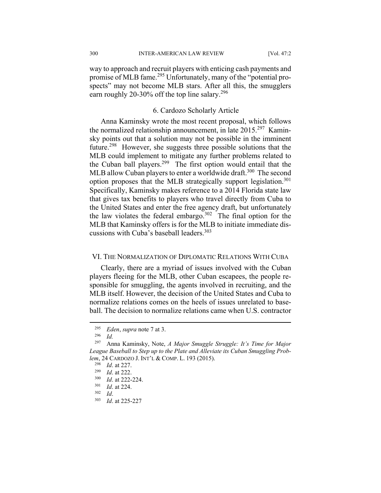300 INTER-AMERICAN LAW REVIEW [Vol. 47:2

way to approach and recruit players with enticing cash payments and promise of MLB fame.295 Unfortunately, many of the "potential prospects" may not become MLB stars. After all this, the smugglers earn roughly 20-30% off the top line salary.<sup>296</sup>

## 6. Cardozo Scholarly Article

Anna Kaminsky wrote the most recent proposal, which follows the normalized relationship announcement, in late 2015.297 Kaminsky points out that a solution may not be possible in the imminent future.<sup>298</sup> However, she suggests three possible solutions that the MLB could implement to mitigate any further problems related to the Cuban ball players.299 The first option would entail that the MLB allow Cuban players to enter a worldwide draft.<sup>300</sup> The second option proposes that the MLB strategically support legislation.<sup>301</sup> Specifically, Kaminsky makes reference to a 2014 Florida state law that gives tax benefits to players who travel directly from Cuba to the United States and enter the free agency draft, but unfortunately the law violates the federal embargo. $302$  The final option for the MLB that Kaminsky offers is for the MLB to initiate immediate discussions with Cuba's baseball leaders.<sup>303</sup>

# VI. THE NORMALIZATION OF DIPLOMATIC RELATIONS WITH CUBA

Clearly, there are a myriad of issues involved with the Cuban players fleeing for the MLB, other Cuban escapees, the people responsible for smuggling, the agents involved in recruiting, and the MLB itself. However, the decision of the United States and Cuba to normalize relations comes on the heels of issues unrelated to baseball. The decision to normalize relations came when U.S. contractor

<sup>&</sup>lt;sup>295</sup> *Eden*, *supra* note 7 at 3.

 $\frac{296}{297}$  *Id.* 

<sup>297</sup> Anna Kaminsky, Note, *A Major Smuggle Struggle: It's Time for Major League Baseball to Step up to the Plate and Alleviate its Cuban Smuggling Problem*, 24 CARDOZO J. INT'L & COMP. L. 193 (2015).

<sup>&</sup>lt;sup>298</sup> *Id.* at 227.<br><sup>299</sup> *Id.* at 222.

<sup>&</sup>lt;sup>299</sup> *Id.* at 222.

 $\frac{300}{301}$  *Id.* at 222-224.

 $\frac{301}{302}$  *Id.* at 224.

<sup>302</sup> *Id*. 303 *Id*. at 225-227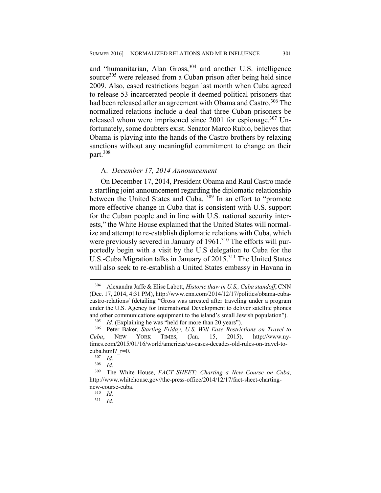and "humanitarian, Alan Gross,<sup>304</sup> and another U.S. intelligence source<sup>305</sup> were released from a Cuban prison after being held since 2009. Also, eased restrictions began last month when Cuba agreed to release 53 incarcerated people it deemed political prisoners that had been released after an agreement with Obama and Castro.<sup>306</sup> The normalized relations include a deal that three Cuban prisoners be released whom were imprisoned since 2001 for espionage.<sup>307</sup> Unfortunately, some doubters exist. Senator Marco Rubio, believes that Obama is playing into the hands of the Castro brothers by relaxing sanctions without any meaningful commitment to change on their part.<sup>308</sup>

#### A. *December 17, 2014 Announcement*

On December 17, 2014, President Obama and Raul Castro made a startling joint announcement regarding the diplomatic relationship between the United States and Cuba. 309 In an effort to "promote more effective change in Cuba that is consistent with U.S. support for the Cuban people and in line with U.S. national security interests," the White House explained that the United States will normalize and attempt to re-establish diplomatic relations with Cuba, which were previously severed in January of 1961.<sup>310</sup> The efforts will purportedly begin with a visit by the U.S delegation to Cuba for the U.S.-Cuba Migration talks in January of 2015.<sup>311</sup> The United States will also seek to re-establish a United States embassy in Havana in

<sup>304</sup> Alexandra Jaffe & Elise Labott, *Historic thaw in U.S., Cuba standoff*, CNN (Dec. 17, 2014, 4:31 PM), http://www.cnn.com/2014/12/17/politics/obama-cubacastro-relations/ (detailing "Gross was arrested after traveling under a program under the U.S. Agency for International Development to deliver satellite phones and other communications equipment to the island's small Jewish population").

<sup>&</sup>lt;sup>305</sup> *Id.* (Explaining he was "held for more than 20 years").<br><sup>306</sup> Peter Baker, *Starting Friday, U.S. Will Fase Restrict* 

<sup>306</sup> Peter Baker, *Starting Friday, U.S. Will Ease Restrictions on Travel to Cuba*, NEW YORK TIMES, (Jan. 15, 2015), http://www.nytimes.com/2015/01/16/world/americas/us-eases-decades-old-rules-on-travel-tocuba.html?\_r=0.<br> $\frac{307}{1}$   $\frac{Id}{I}$ 

 $\frac{307}{308}$  *Id.* 

*Id.* 

<sup>309</sup> The White House, *FACT SHEET: Charting a New Course on Cuba*, http://www.whitehouse.gov//the-press-office/2014/12/17/fact-sheet-chartingnew-course-cuba.

 $\frac{310}{311}$  *Id.* 

<sup>311</sup> *Id.*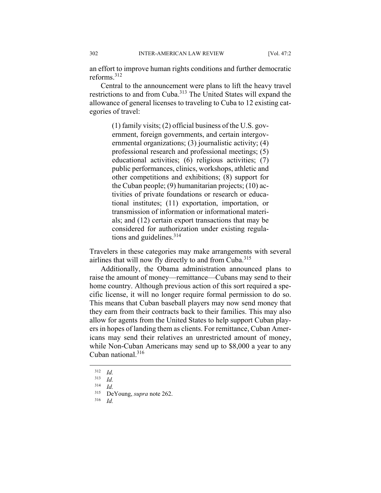an effort to improve human rights conditions and further democratic reforms<sup>312</sup>

Central to the announcement were plans to lift the heavy travel restrictions to and from Cuba.313 The United States will expand the allowance of general licenses to traveling to Cuba to 12 existing categories of travel:

> (1) family visits; (2) official business of the U.S. government, foreign governments, and certain intergovernmental organizations; (3) journalistic activity; (4) professional research and professional meetings; (5) educational activities; (6) religious activities; (7) public performances, clinics, workshops, athletic and other competitions and exhibitions; (8) support for the Cuban people; (9) humanitarian projects; (10) activities of private foundations or research or educational institutes; (11) exportation, importation, or transmission of information or informational materials; and (12) certain export transactions that may be considered for authorization under existing regulations and guidelines.<sup>314</sup>

Travelers in these categories may make arrangements with several airlines that will now fly directly to and from Cuba.<sup>315</sup>

Additionally, the Obama administration announced plans to raise the amount of money—remittance—Cubans may send to their home country. Although previous action of this sort required a specific license, it will no longer require formal permission to do so. This means that Cuban baseball players may now send money that they earn from their contracts back to their families. This may also allow for agents from the United States to help support Cuban players in hopes of landing them as clients. For remittance, Cuban Americans may send their relatives an unrestricted amount of money, while Non-Cuban Americans may send up to \$8,000 a year to any Cuban national  $316$ 

 $\frac{312}{313}$  *Id.* 

 $\frac{313}{314}$  *Id.* 

 $\frac{314}{315}$  *Id.* 

 $^{315}$  DeYoung, *supra* note 262.

<sup>316</sup> *Id.*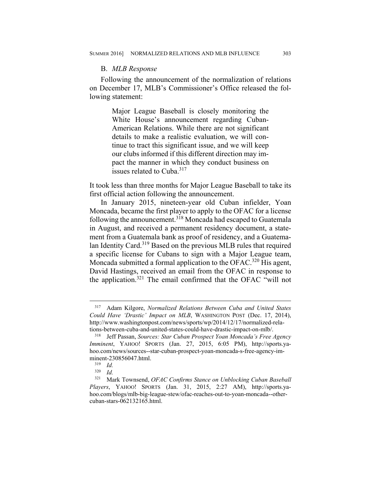#### B. *MLB Response*

Following the announcement of the normalization of relations on December 17, MLB's Commissioner's Office released the following statement:

> Major League Baseball is closely monitoring the White House's announcement regarding Cuban-American Relations. While there are not significant details to make a realistic evaluation, we will continue to tract this significant issue, and we will keep our clubs informed if this different direction may impact the manner in which they conduct business on issues related to Cuba.317

It took less than three months for Major League Baseball to take its first official action following the announcement.

In January 2015, nineteen-year old Cuban infielder, Yoan Moncada, became the first player to apply to the OFAC for a license following the announcement.318 Moncada had escaped to Guatemala in August, and received a permanent residency document, a statement from a Guatemala bank as proof of residency, and a Guatemalan Identity Card.319 Based on the previous MLB rules that required a specific license for Cubans to sign with a Major League team, Moncada submitted a formal application to the OFAC.<sup>320</sup> His agent, David Hastings, received an email from the OFAC in response to the application.321 The email confirmed that the OFAC "will not

<sup>317</sup> Adam Kilgore, *Normalized Relations Between Cuba and United States Could Have 'Drastic' Impact on MLB*, WASHINGTON POST (Dec. 17, 2014), http://www.washingtonpost.com/news/sports/wp/2014/12/17/normalized-relations-between-cuba-and-united-states-could-have-drastic-impact-on-mlb/.

<sup>318</sup> Jeff Passan, *Sources: Star Cuban Prospect Yoan Moncada's Free Agency Imminent*, YAHOO! SPORTS (Jan. 27, 2015, 6:05 PM), http://sports.yahoo.com/news/sources--star-cuban-prospect-yoan-moncada-s-free-agency-imminent-230856047.html.

 $\frac{319}{320}$  *Id.* 

<sup>320</sup> *Id.*

<sup>321</sup> Mark Townsend, *OFAC Confirms Stance on Unblocking Cuban Baseball Players*, YAHOO! SPORTS (Jan. 31, 2015, 2:27 AM), http://sports.yahoo.com/blogs/mlb-big-league-stew/ofac-reaches-out-to-yoan-moncada--othercuban-stars-062132165.html.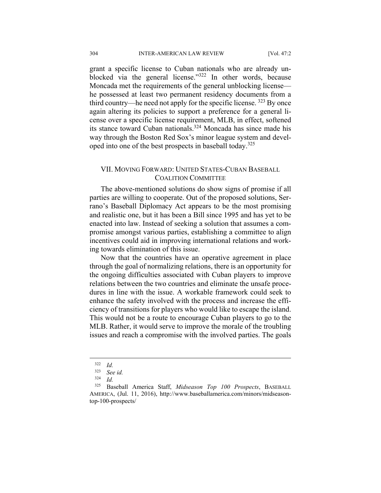grant a specific license to Cuban nationals who are already unblocked via the general license."<sup>322</sup> In other words, because Moncada met the requirements of the general unblocking license he possessed at least two permanent residency documents from a third country—he need not apply for the specific license. <sup>323</sup> By once again altering its policies to support a preference for a general license over a specific license requirement, MLB, in effect, softened its stance toward Cuban nationals.<sup>324</sup> Moncada has since made his way through the Boston Red Sox's minor league system and developed into one of the best prospects in baseball today.<sup>325</sup>

# VII. MOVING FORWARD: UNITED STATES-CUBAN BASEBALL COALITION COMMITTEE

The above-mentioned solutions do show signs of promise if all parties are willing to cooperate. Out of the proposed solutions, Serrano's Baseball Diplomacy Act appears to be the most promising and realistic one, but it has been a Bill since 1995 and has yet to be enacted into law. Instead of seeking a solution that assumes a compromise amongst various parties, establishing a committee to align incentives could aid in improving international relations and working towards elimination of this issue.

Now that the countries have an operative agreement in place through the goal of normalizing relations, there is an opportunity for the ongoing difficulties associated with Cuban players to improve relations between the two countries and eliminate the unsafe procedures in line with the issue. A workable framework could seek to enhance the safety involved with the process and increase the efficiency of transitions for players who would like to escape the island. This would not be a route to encourage Cuban players to go to the MLB. Rather, it would serve to improve the morale of the troubling issues and reach a compromise with the involved parties. The goals

 $\frac{322}{323}$  *Id.* 

<sup>323</sup> *See id.*

 $\frac{324}{325}$  *Id.* 

<sup>325</sup> Baseball America Staff, *Midseason Top 100 Prospects*, BASEBALL AMERICA, (Jul. 11, 2016), http://www.baseballamerica.com/minors/midseasontop-100-prospects/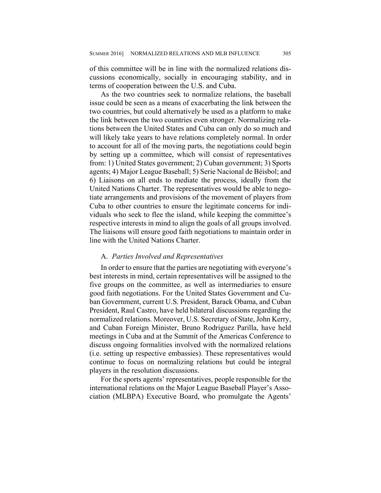of this committee will be in line with the normalized relations discussions economically, socially in encouraging stability, and in terms of cooperation between the U.S. and Cuba.

As the two countries seek to normalize relations, the baseball issue could be seen as a means of exacerbating the link between the two countries, but could alternatively be used as a platform to make the link between the two countries even stronger. Normalizing relations between the United States and Cuba can only do so much and will likely take years to have relations completely normal. In order to account for all of the moving parts, the negotiations could begin by setting up a committee, which will consist of representatives from: 1) United States government; 2) Cuban government; 3) Sports agents; 4) Major League Baseball; 5) Serie Nacional de Béisbol; and 6) Liaisons on all ends to mediate the process, ideally from the United Nations Charter. The representatives would be able to negotiate arrangements and provisions of the movement of players from Cuba to other countries to ensure the legitimate concerns for individuals who seek to flee the island, while keeping the committee's respective interests in mind to align the goals of all groups involved. The liaisons will ensure good faith negotiations to maintain order in line with the United Nations Charter.

## A. *Parties Involved and Representatives*

In order to ensure that the parties are negotiating with everyone's best interests in mind, certain representatives will be assigned to the five groups on the committee, as well as intermediaries to ensure good faith negotiations. For the United States Government and Cuban Government, current U.S. President, Barack Obama, and Cuban President, Raul Castro, have held bilateral discussions regarding the normalized relations. Moreover, U.S. Secretary of State, John Kerry, and Cuban Foreign Minister, Bruno Rodriguez Parilla, have held meetings in Cuba and at the Summit of the Americas Conference to discuss ongoing formalities involved with the normalized relations (i.e. setting up respective embassies). These representatives would continue to focus on normalizing relations but could be integral players in the resolution discussions.

For the sports agents' representatives, people responsible for the international relations on the Major League Baseball Player's Association (MLBPA) Executive Board, who promulgate the Agents'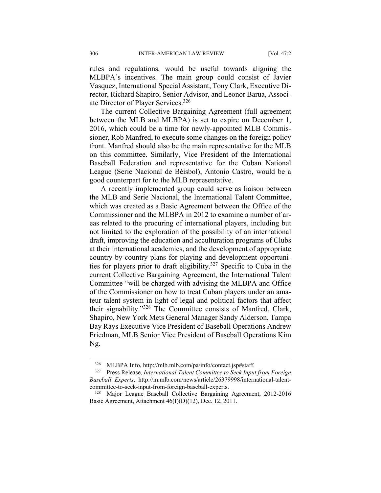rules and regulations, would be useful towards aligning the MLBPA's incentives. The main group could consist of Javier Vasquez, International Special Assistant, Tony Clark, Executive Director, Richard Shapiro, Senior Advisor, and Leonor Barua, Associate Director of Player Services.<sup>326</sup>

The current Collective Bargaining Agreement (full agreement between the MLB and MLBPA) is set to expire on December 1, 2016, which could be a time for newly-appointed MLB Commissioner, Rob Manfred, to execute some changes on the foreign policy front. Manfred should also be the main representative for the MLB on this committee. Similarly, Vice President of the International Baseball Federation and representative for the Cuban National League (Serie Nacional de Béisbol), Antonio Castro, would be a good counterpart for to the MLB representative.

A recently implemented group could serve as liaison between the MLB and Serie Nacional, the International Talent Committee, which was created as a Basic Agreement between the Office of the Commissioner and the MLBPA in 2012 to examine a number of areas related to the procuring of international players, including but not limited to the exploration of the possibility of an international draft, improving the education and acculturation programs of Clubs at their international academies, and the development of appropriate country-by-country plans for playing and development opportunities for players prior to draft eligibility.327 Specific to Cuba in the current Collective Bargaining Agreement, the International Talent Committee "will be charged with advising the MLBPA and Office of the Commissioner on how to treat Cuban players under an amateur talent system in light of legal and political factors that affect their signability."328 The Committee consists of Manfred, Clark, Shapiro, New York Mets General Manager Sandy Alderson, Tampa Bay Rays Executive Vice President of Baseball Operations Andrew Friedman, MLB Senior Vice President of Baseball Operations Kim Ng.

<u>.</u>

<sup>326</sup> MLBPA Info, http://mlb.mlb.com/pa/info/contact.jsp#staff.

<sup>327</sup> Press Release, *International Talent Committee to Seek Input from Foreign Baseball Experts*, http://m.mlb.com/news/article/26379998/international-talentcommittee-to-seek-input-from-foreign-baseball-experts.

<sup>328</sup> Major League Baseball Collective Bargaining Agreement, 2012-2016 Basic Agreement, Attachment 46(I)(D)(12), Dec. 12, 2011.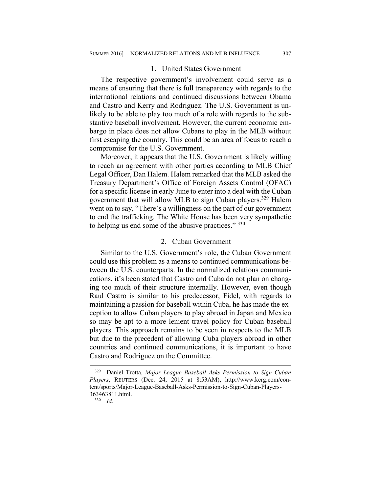#### 1. United States Government

The respective government's involvement could serve as a means of ensuring that there is full transparency with regards to the international relations and continued discussions between Obama and Castro and Kerry and Rodriguez. The U.S. Government is unlikely to be able to play too much of a role with regards to the substantive baseball involvement. However, the current economic embargo in place does not allow Cubans to play in the MLB without first escaping the country. This could be an area of focus to reach a compromise for the U.S. Government.

Moreover, it appears that the U.S. Government is likely willing to reach an agreement with other parties according to MLB Chief Legal Officer, Dan Halem. Halem remarked that the MLB asked the Treasury Department's Office of Foreign Assets Control (OFAC) for a specific license in early June to enter into a deal with the Cuban government that will allow MLB to sign Cuban players.<sup>329</sup> Halem went on to say, "There's a willingness on the part of our government to end the trafficking. The White House has been very sympathetic to helping us end some of the abusive practices." 330

#### 2. Cuban Government

Similar to the U.S. Government's role, the Cuban Government could use this problem as a means to continued communications between the U.S. counterparts. In the normalized relations communications, it's been stated that Castro and Cuba do not plan on changing too much of their structure internally. However, even though Raul Castro is similar to his predecessor, Fidel, with regards to maintaining a passion for baseball within Cuba, he has made the exception to allow Cuban players to play abroad in Japan and Mexico so may be apt to a more lenient travel policy for Cuban baseball players. This approach remains to be seen in respects to the MLB but due to the precedent of allowing Cuba players abroad in other countries and continued communications, it is important to have Castro and Rodriguez on the Committee.

<sup>329</sup> Daniel Trotta, *Major League Baseball Asks Permission to Sign Cuban Players*, REUTERS (Dec. 24, 2015 at 8:53AM), http://www.kcrg.com/content/sports/Major-League-Baseball-Asks-Permission-to-Sign-Cuban-Players-363463811.html.

 $330$  *Id.*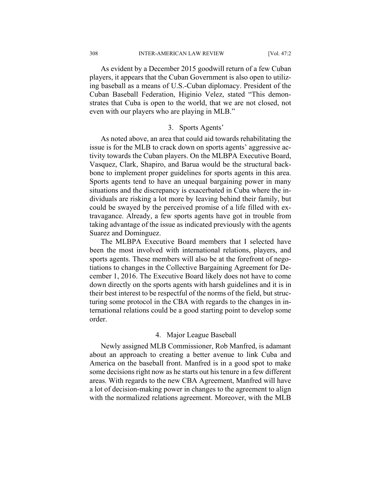308 INTER-AMERICAN LAW REVIEW [Vol. 47:2

As evident by a December 2015 goodwill return of a few Cuban players, it appears that the Cuban Government is also open to utilizing baseball as a means of U.S.-Cuban diplomacy. President of the Cuban Baseball Federation, Higinio Velez, stated "This demonstrates that Cuba is open to the world, that we are not closed, not even with our players who are playing in MLB."

# 3. Sports Agents'

As noted above, an area that could aid towards rehabilitating the issue is for the MLB to crack down on sports agents' aggressive activity towards the Cuban players. On the MLBPA Executive Board, Vasquez, Clark, Shapiro, and Barua would be the structural backbone to implement proper guidelines for sports agents in this area. Sports agents tend to have an unequal bargaining power in many situations and the discrepancy is exacerbated in Cuba where the individuals are risking a lot more by leaving behind their family, but could be swayed by the perceived promise of a life filled with extravagance. Already, a few sports agents have got in trouble from taking advantage of the issue as indicated previously with the agents Suarez and Dominguez.

The MLBPA Executive Board members that I selected have been the most involved with international relations, players, and sports agents. These members will also be at the forefront of negotiations to changes in the Collective Bargaining Agreement for December 1, 2016. The Executive Board likely does not have to come down directly on the sports agents with harsh guidelines and it is in their best interest to be respectful of the norms of the field, but structuring some protocol in the CBA with regards to the changes in international relations could be a good starting point to develop some order.

# 4. Major League Baseball

Newly assigned MLB Commissioner, Rob Manfred, is adamant about an approach to creating a better avenue to link Cuba and America on the baseball front. Manfred is in a good spot to make some decisions right now as he starts out his tenure in a few different areas. With regards to the new CBA Agreement, Manfred will have a lot of decision-making power in changes to the agreement to align with the normalized relations agreement. Moreover, with the MLB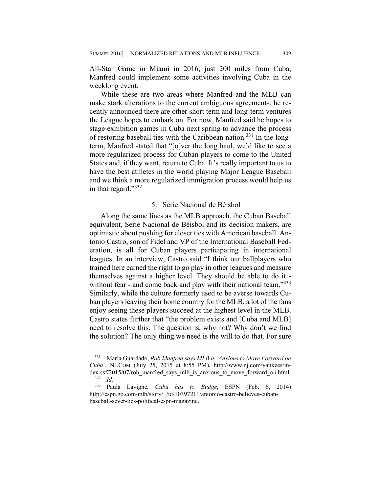All-Star Game in Miami in 2016, just 200 miles from Cuba, Manfred could implement some activities involving Cuba in the weeklong event.

While these are two areas where Manfred and the MLB can make stark alterations to the current ambiguous agreements, he recently announced there are other short term and long-term ventures the League hopes to embark on. For now, Manfred said he hopes to stage exhibition games in Cuba next spring to advance the process of restoring baseball ties with the Caribbean nation.<sup>331</sup> In the longterm, Manfred stated that "[o]ver the long haul, we'd like to see a more regularized process for Cuban players to come to the United States and, if they want, return to Cuba. It's really important to us to have the best athletes in the world playing Major League Baseball and we think a more regularized immigration process would help us in that regard."<sup>332</sup>

### 5. Serie Nacional de Béisbol

Along the same lines as the MLB approach, the Cuban Baseball equivalent, Serie Nacional de Béisbol and its decision makers, are optimistic about pushing for closer ties with American baseball. Antonio Castro, son of Fidel and VP of the International Baseball Federation, is all for Cuban players participating in international leagues. In an interview, Castro said "I think our ballplayers who trained here earned the right to go play in other leagues and measure themselves against a higher level. They should be able to do it without fear - and come back and play with their national team."<sup>333</sup> Similarly, while the culture formerly used to be averse towards Cuban players leaving their home country for the MLB, a lot of the fans enjoy seeing these players succeed at the highest level in the MLB. Castro states further that "the problem exists and [Cuba and MLB] need to resolve this. The question is, why not? Why don't we find the solution? The only thing we need is the will to do that. For sure

<sup>331</sup> Maria Guardado, *Rob Manfred says MLB is 'Anxious to Move Forward on Cuba'*, NJ.COM (July 25, 2015 at 8:55 PM), http://www.nj.com/yankees/in- $\frac{dex \cdot s}{332}$  *d*<br> $\frac{332 \cdot d}{d}$ <sup>332</sup> *Id.* 

<sup>333</sup> Paula Lavigne, *Cuba has to Budge*, ESPN (Feb. 6, 2014) http://espn.go.com/mlb/story/\_/id/10397211/antonio-castro-believes-cubanbaseball-sever-ties-political-espn-magazine.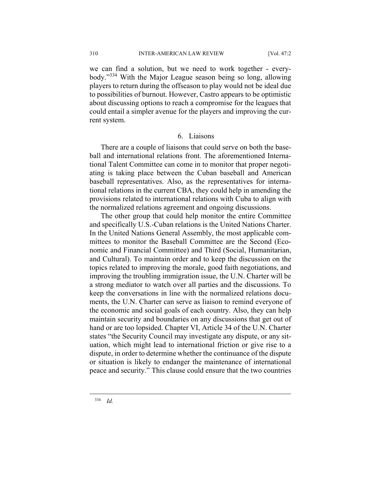310 INTER-AMERICAN LAW REVIEW [Vol. 47:2

we can find a solution, but we need to work together - everybody."334 With the Major League season being so long, allowing players to return during the offseason to play would not be ideal due to possibilities of burnout. However, Castro appears to be optimistic about discussing options to reach a compromise for the leagues that could entail a simpler avenue for the players and improving the current system.

#### 6. Liaisons

There are a couple of liaisons that could serve on both the baseball and international relations front. The aforementioned International Talent Committee can come in to monitor that proper negotiating is taking place between the Cuban baseball and American baseball representatives. Also, as the representatives for international relations in the current CBA, they could help in amending the provisions related to international relations with Cuba to align with the normalized relations agreement and ongoing discussions.

The other group that could help monitor the entire Committee and specifically U.S.-Cuban relations is the United Nations Charter. In the United Nations General Assembly, the most applicable committees to monitor the Baseball Committee are the Second (Economic and Financial Committee) and Third (Social, Humanitarian, and Cultural). To maintain order and to keep the discussion on the topics related to improving the morale, good faith negotiations, and improving the troubling immigration issue, the U.N. Charter will be a strong mediator to watch over all parties and the discussions. To keep the conversations in line with the normalized relations documents, the U.N. Charter can serve as liaison to remind everyone of the economic and social goals of each country. Also, they can help maintain security and boundaries on any discussions that get out of hand or are too lopsided. Chapter VI, Article 34 of the U.N. Charter states "the Security Council may investigate any dispute, or any situation, which might lead to international friction or give rise to a dispute, in order to determine whether the continuance of the dispute or situation is likely to endanger the maintenance of international peace and security." This clause could ensure that the two countries

334 *Id.*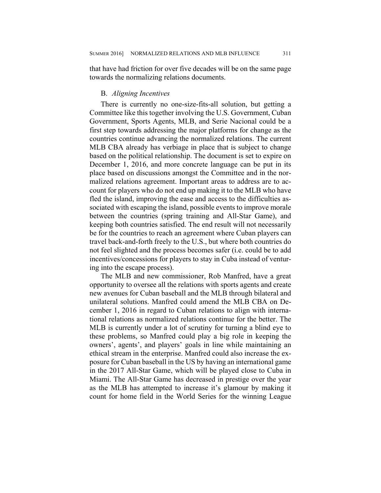that have had friction for over five decades will be on the same page towards the normalizing relations documents.

#### B. *Aligning Incentives*

There is currently no one-size-fits-all solution, but getting a Committee like this together involving the U.S. Government, Cuban Government, Sports Agents, MLB, and Serie Nacional could be a first step towards addressing the major platforms for change as the countries continue advancing the normalized relations. The current MLB CBA already has verbiage in place that is subject to change based on the political relationship. The document is set to expire on December 1, 2016, and more concrete language can be put in its place based on discussions amongst the Committee and in the normalized relations agreement. Important areas to address are to account for players who do not end up making it to the MLB who have fled the island, improving the ease and access to the difficulties associated with escaping the island, possible events to improve morale between the countries (spring training and All-Star Game), and keeping both countries satisfied. The end result will not necessarily be for the countries to reach an agreement where Cuban players can travel back-and-forth freely to the U.S., but where both countries do not feel slighted and the process becomes safer (i.e. could be to add incentives/concessions for players to stay in Cuba instead of venturing into the escape process).

The MLB and new commissioner, Rob Manfred, have a great opportunity to oversee all the relations with sports agents and create new avenues for Cuban baseball and the MLB through bilateral and unilateral solutions. Manfred could amend the MLB CBA on December 1, 2016 in regard to Cuban relations to align with international relations as normalized relations continue for the better. The MLB is currently under a lot of scrutiny for turning a blind eye to these problems, so Manfred could play a big role in keeping the owners', agents', and players' goals in line while maintaining an ethical stream in the enterprise. Manfred could also increase the exposure for Cuban baseball in the US by having an international game in the 2017 All-Star Game, which will be played close to Cuba in Miami. The All-Star Game has decreased in prestige over the year as the MLB has attempted to increase it's glamour by making it count for home field in the World Series for the winning League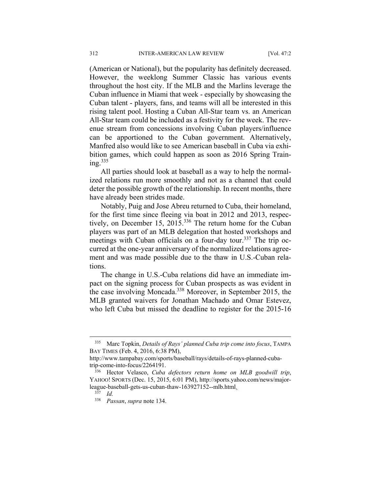(American or National), but the popularity has definitely decreased. However, the weeklong Summer Classic has various events throughout the host city. If the MLB and the Marlins leverage the Cuban influence in Miami that week - especially by showcasing the Cuban talent - players, fans, and teams will all be interested in this rising talent pool. Hosting a Cuban All-Star team vs. an American All-Star team could be included as a festivity for the week. The revenue stream from concessions involving Cuban players/influence can be apportioned to the Cuban government. Alternatively, Manfred also would like to see American baseball in Cuba via exhibition games, which could happen as soon as 2016 Spring Training.<sup>335</sup>

All parties should look at baseball as a way to help the normalized relations run more smoothly and not as a channel that could deter the possible growth of the relationship. In recent months, there have already been strides made.

Notably, Puig and Jose Abreu returned to Cuba, their homeland, for the first time since fleeing via boat in 2012 and 2013, respectively, on December 15, 2015.<sup>336</sup> The return home for the Cuban players was part of an MLB delegation that hosted workshops and meetings with Cuban officials on a four-day tour.<sup>337</sup> The trip occurred at the one-year anniversary of the normalized relations agreement and was made possible due to the thaw in U.S.-Cuban relations.

The change in U.S.-Cuba relations did have an immediate impact on the signing process for Cuban prospects as was evident in the case involving Moncada.338 Moreover, in September 2015, the MLB granted waivers for Jonathan Machado and Omar Estevez, who left Cuba but missed the deadline to register for the 2015-16

<sup>335</sup> Marc Topkin, *Details of Rays' planned Cuba trip come into focus*, TAMPA BAY TIMES (Feb. 4, 2016, 6:38 PM),

http://www.tampabay.com/sports/baseball/rays/details-of-rays-planned-cubatrip-come-into-focus/2264191.

<sup>336</sup> Hector Velasco, *Cuba defectors return home on MLB goodwill trip*, YAHOO! SPORTS (Dec. 15, 2015, 6:01 PM), http://sports.yahoo.com/news/majorleague-baseball-gets-us-cuban-thaw-163927152--mlb.html.

 $337$  *Id.* 

<sup>338</sup> *Passan*, *supra* note 134.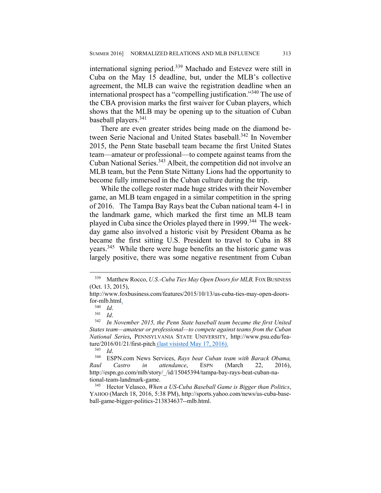international signing period.339 Machado and Estevez were still in Cuba on the May 15 deadline, but, under the MLB's collective agreement, the MLB can waive the registration deadline when an international prospect has a "compelling justification."340 The use of the CBA provision marks the first waiver for Cuban players, which shows that the MLB may be opening up to the situation of Cuban baseball players.341

There are even greater strides being made on the diamond between Serie Nacional and United States baseball.<sup>342</sup> In November 2015, the Penn State baseball team became the first United States team—amateur or professional—to compete against teams from the Cuban National Series.<sup>343</sup> Albeit, the competition did not involve an MLB team, but the Penn State Nittany Lions had the opportunity to become fully immersed in the Cuban culture during the trip.

While the college roster made huge strides with their November game, an MLB team engaged in a similar competition in the spring of 2016. The Tampa Bay Rays beat the Cuban national team 4-1 in the landmark game, which marked the first time an MLB team played in Cuba since the Orioles played there in 1999.<sup>344</sup> The weekday game also involved a historic visit by President Obama as he became the first sitting U.S. President to travel to Cuba in 88 years.<sup>345</sup> While there were huge benefits an the historic game was largely positive, there was some negative resentment from Cuban

<sup>339</sup> Matthew Rocco, *U.S.-Cuba Ties May Open Doors for MLB,* FOX BUSINESS (Oct. 13, 2015),

http://www.foxbusiness.com/features/2015/10/13/us-cuba-ties-may-open-doorsfor-mlb.html $\frac{1}{340}$   $\frac{1}{d}$ .

<sup>340</sup> *Id*. 341 *Id*. 342 *In November 2015, the Penn State baseball team became the first United States team—amateur or professional—to compete against teams from the Cuban National Series,* PENNSYLVANIA STATE UNIVERSITY, http://www.psu.edu/feature/2016/01/21/first-pitch (last visisted May 17, 2016).<br> $^{343}$  Id

<sup>&</sup>lt;sup>344</sup> ESPN.com News Services, *Rays beat Cuban team with Barack Obama*, *Raul Castro in attendance*, ESPN (March 22, 2016), http://espn.go.com/mlb/story/\_/id/15045394/tampa-bay-rays-beat-cuban-national-team-landmark-game.

<sup>345</sup> Hector Velasco, *When a US-Cuba Baseball Game is Bigger than Politics*, YAHOO (March 18, 2016, 5:38 PM), http://sports.yahoo.com/news/us-cuba-baseball-game-bigger-politics-213834637--mlb.html.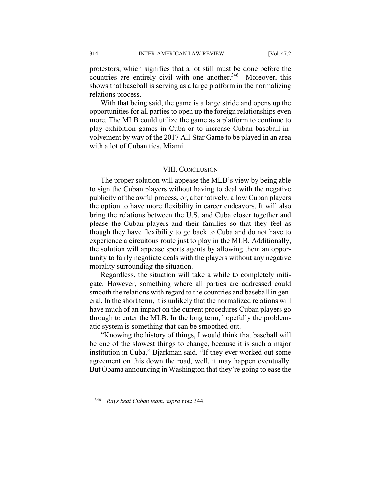protestors, which signifies that a lot still must be done before the countries are entirely civil with one another.<sup>346</sup> Moreover, this shows that baseball is serving as a large platform in the normalizing relations process.

With that being said, the game is a large stride and opens up the opportunities for all parties to open up the foreign relationships even more. The MLB could utilize the game as a platform to continue to play exhibition games in Cuba or to increase Cuban baseball involvement by way of the 2017 All-Star Game to be played in an area with a lot of Cuban ties, Miami.

#### VIII. CONCLUSION

The proper solution will appease the MLB's view by being able to sign the Cuban players without having to deal with the negative publicity of the awful process, or, alternatively, allow Cuban players the option to have more flexibility in career endeavors. It will also bring the relations between the U.S. and Cuba closer together and please the Cuban players and their families so that they feel as though they have flexibility to go back to Cuba and do not have to experience a circuitous route just to play in the MLB. Additionally, the solution will appease sports agents by allowing them an opportunity to fairly negotiate deals with the players without any negative morality surrounding the situation.

Regardless, the situation will take a while to completely mitigate. However, something where all parties are addressed could smooth the relations with regard to the countries and baseball in general. In the short term, it is unlikely that the normalized relations will have much of an impact on the current procedures Cuban players go through to enter the MLB. In the long term, hopefully the problematic system is something that can be smoothed out.

"Knowing the history of things, I would think that baseball will be one of the slowest things to change, because it is such a major institution in Cuba," Bjarkman said. "If they ever worked out some agreement on this down the road, well, it may happen eventually. But Obama announcing in Washington that they're going to ease the

<sup>346</sup> *Rays beat Cuban team*, *supra* note 344.